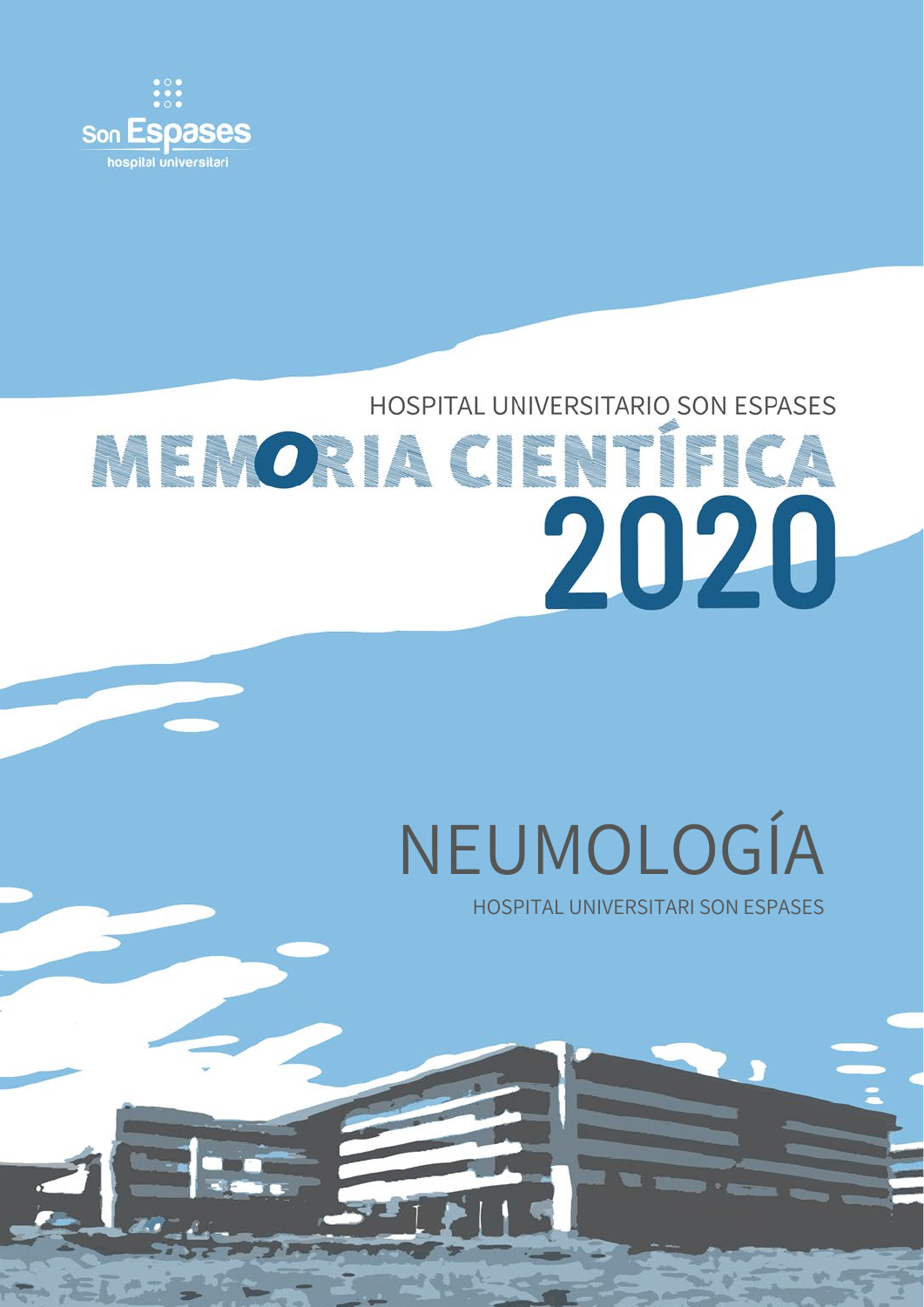

## HOSPITAL UNIVERSITARIO SON ESPASES **MENORIA CIENTÍFICA** 2020

# NEUMOLOGÍA

HOSPITAL UNIVERSITARI SON ESPASES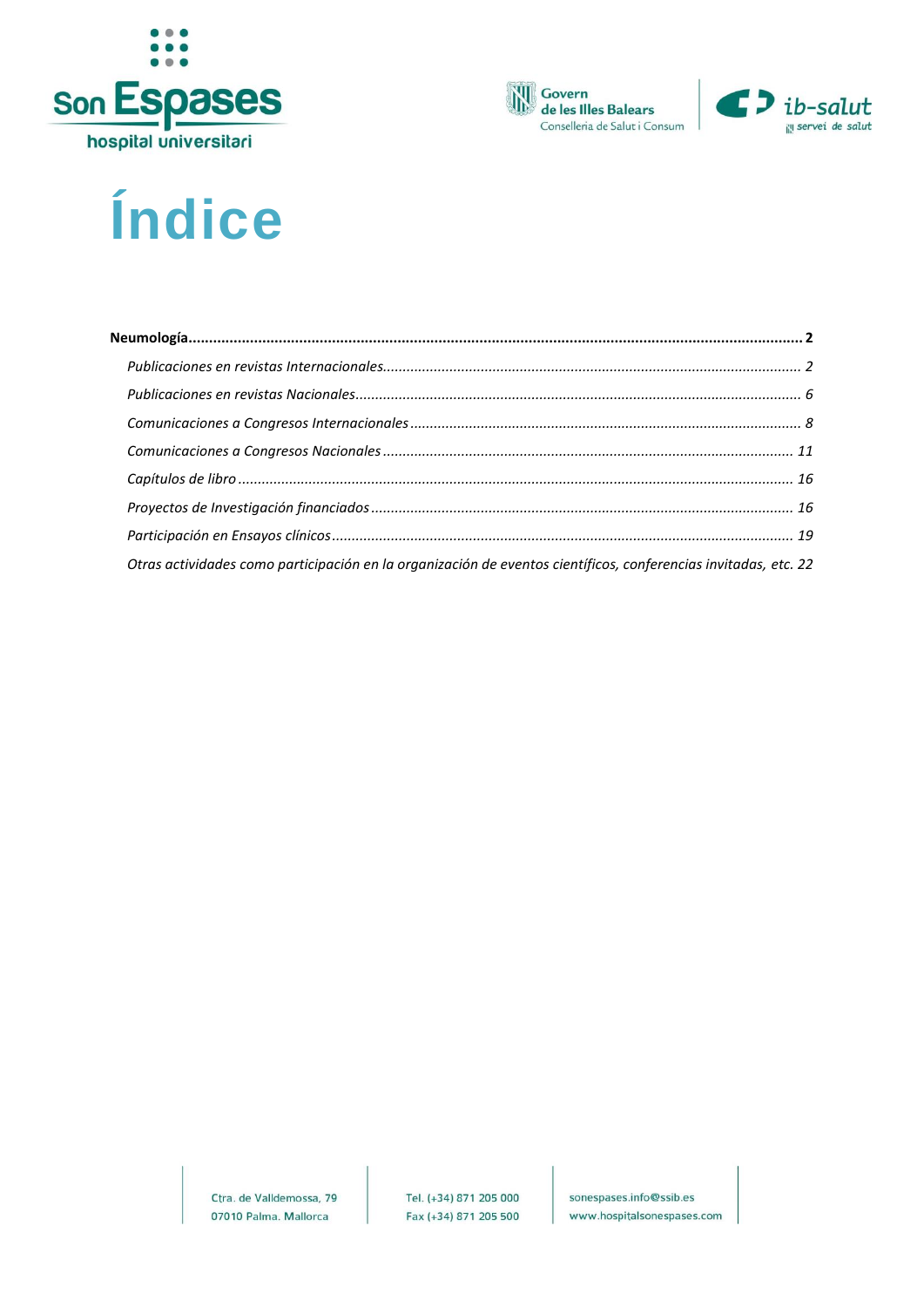





### Índice

| Otras actividades como participación en la organización de eventos científicos, conferencias invitadas, etc. 22 |  |
|-----------------------------------------------------------------------------------------------------------------|--|

Ctra. de Valldemossa, 79 07010 Palma. Mallorca

sonespases.info@ssib.es www.hospitalsonespases.com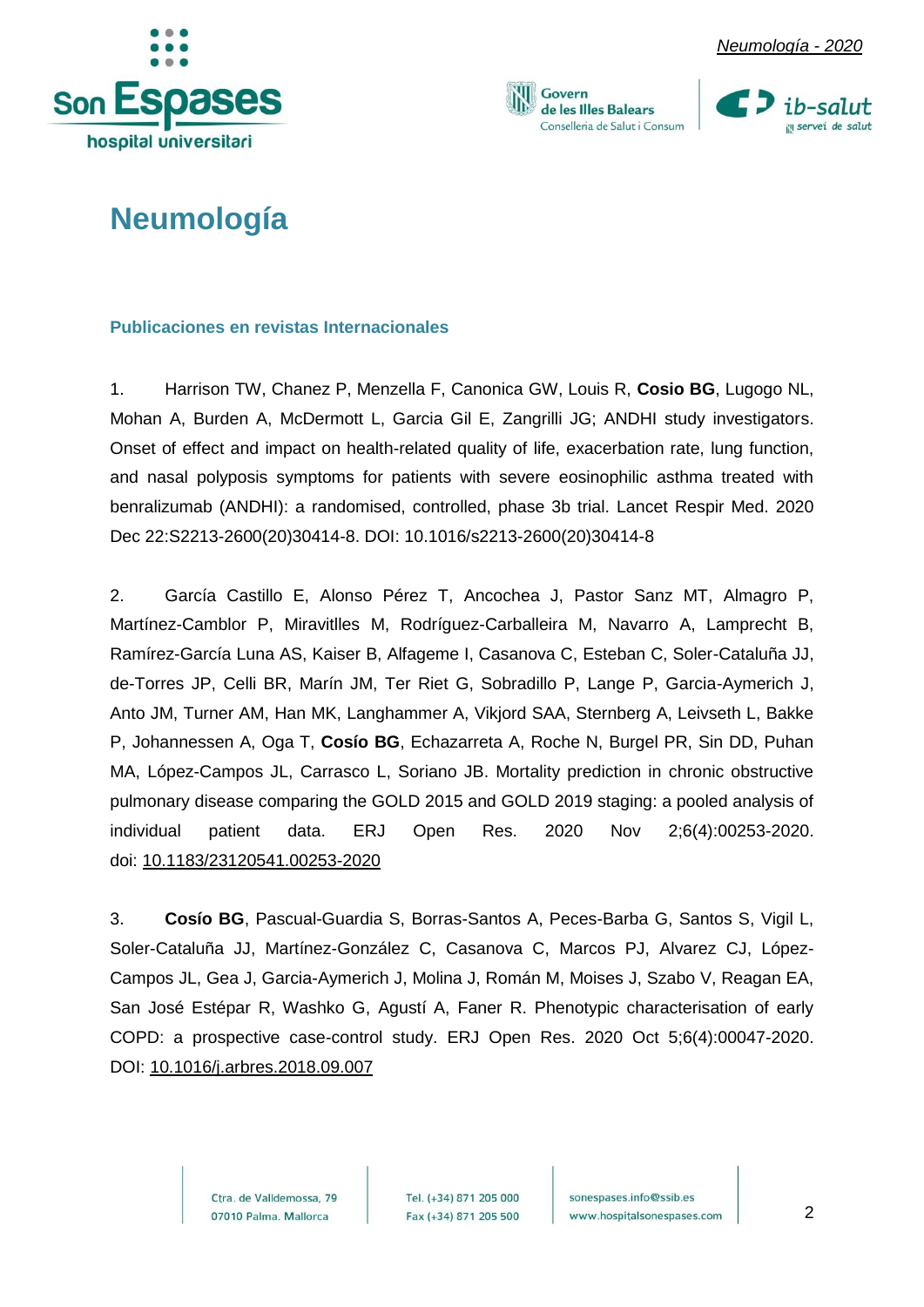







### <span id="page-2-0"></span>**Neumología**

#### <span id="page-2-1"></span>**Publicaciones en revistas Internacionales**

1. Harrison TW, Chanez P, Menzella F, Canonica GW, Louis R, **Cosio BG**, Lugogo NL, Mohan A, Burden A, McDermott L, Garcia Gil E, Zangrilli JG; ANDHI study investigators. Onset of effect and impact on health-related quality of life, exacerbation rate, lung function, and nasal polyposis symptoms for patients with severe eosinophilic asthma treated with benralizumab (ANDHI): a randomised, controlled, phase 3b trial. Lancet Respir Med. 2020 Dec 22:S2213-2600(20)30414-8. DOI: [10.1016/s2213-2600\(20\)30414-8](https://doi.org/10.1016/s2213-2600(20)30414-8)

2. García Castillo E, Alonso Pérez T, Ancochea J, Pastor Sanz MT, Almagro P, Martínez-Camblor P, Miravitlles M, Rodríguez-Carballeira M, Navarro A, Lamprecht B, Ramírez-García Luna AS, Kaiser B, Alfageme I, Casanova C, Esteban C, Soler-Cataluña JJ, de-Torres JP, Celli BR, Marín JM, Ter Riet G, Sobradillo P, Lange P, Garcia-Aymerich J, Anto JM, Turner AM, Han MK, Langhammer A, Vikjord SAA, Sternberg A, Leivseth L, Bakke P, Johannessen A, Oga T, **Cosío BG**, Echazarreta A, Roche N, Burgel PR, Sin DD, Puhan MA, López-Campos JL, Carrasco L, Soriano JB. Mortality prediction in chronic obstructive pulmonary disease comparing the GOLD 2015 and GOLD 2019 staging: a pooled analysis of individual patient data. ERJ Open Res. 2020 Nov 2;6(4):00253-2020. doi: [10.1183/23120541.00253-2020](https://dx.doi.org/10.1183%2F23120541.00253-2020)

3. **Cosío BG**, Pascual-Guardia S, Borras-Santos A, Peces-Barba G, Santos S, Vigil L, Soler-Cataluña JJ, Martínez-González C, Casanova C, Marcos PJ, Alvarez CJ, López-Campos JL, Gea J, Garcia-Aymerich J, Molina J, Román M, Moises J, Szabo V, Reagan EA, San José Estépar R, Washko G, Agustí A, Faner R. Phenotypic characterisation of early COPD: a prospective case-control study. ERJ Open Res. 2020 Oct 5;6(4):00047-2020. DOI: [10.1016/j.arbres.2018.09.007](https://doi.org/10.1016/j.arbres.2018.09.007)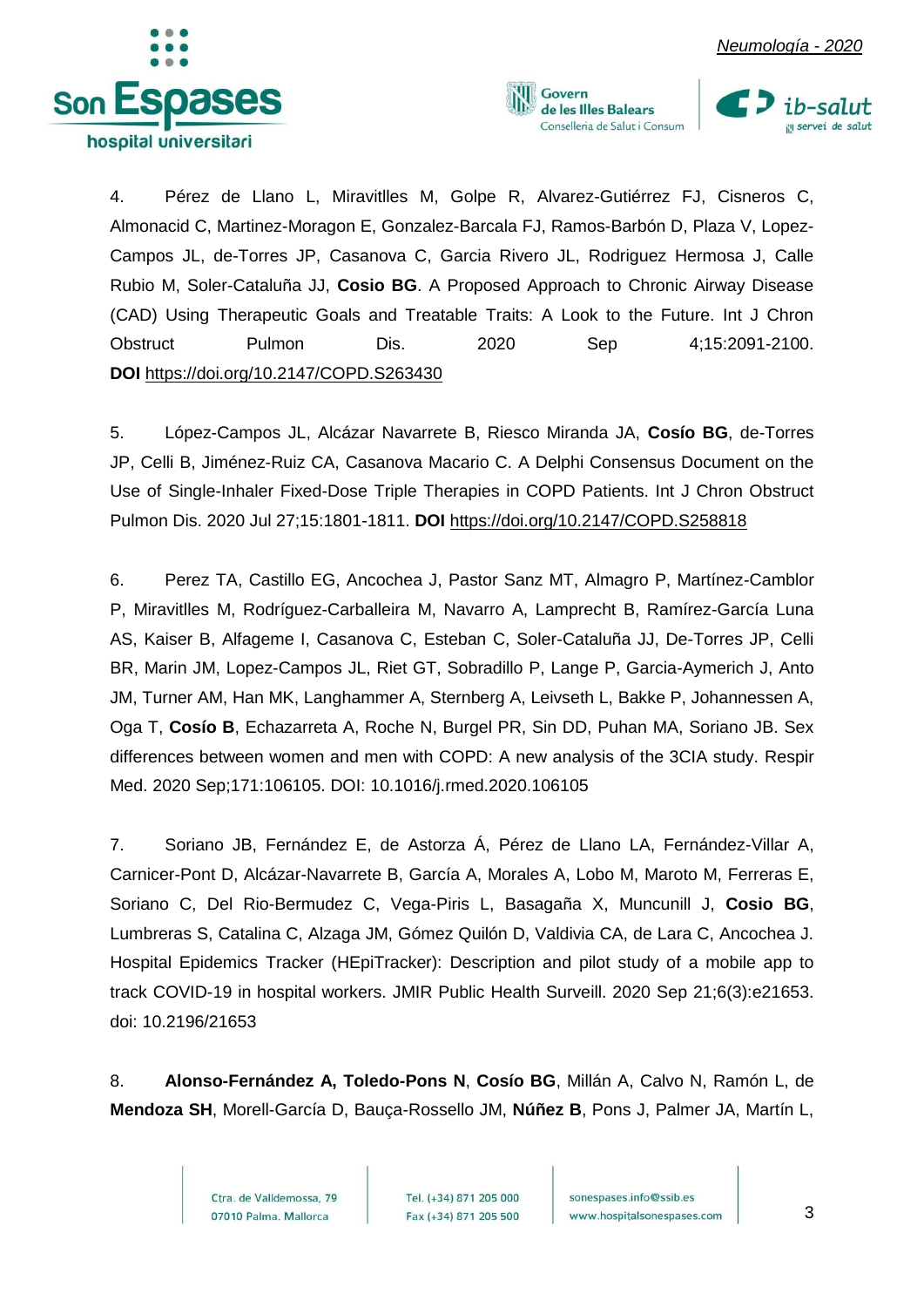





4. Pérez de Llano L, Miravitlles M, Golpe R, Alvarez-Gutiérrez FJ, Cisneros C, Almonacid C, Martinez-Moragon E, Gonzalez-Barcala FJ, Ramos-Barbón D, Plaza V, Lopez-Campos JL, de-Torres JP, Casanova C, Garcia Rivero JL, Rodriguez Hermosa J, Calle Rubio M, Soler-Cataluña JJ, **Cosio BG**. A Proposed Approach to Chronic Airway Disease (CAD) Using Therapeutic Goals and Treatable Traits: A Look to the Future. Int J Chron Obstruct Pulmon Dis. 2020 Sep 4;15:2091-2100. **DOI** <https://doi.org/10.2147/COPD.S263430>

5. López-Campos JL, Alcázar Navarrete B, Riesco Miranda JA, **Cosío BG**, de-Torres JP, Celli B, Jiménez-Ruiz CA, Casanova Macario C. A Delphi Consensus Document on the Use of Single-Inhaler Fixed-Dose Triple Therapies in COPD Patients. Int J Chron Obstruct Pulmon Dis. 2020 Jul 27;15:1801-1811. **DOI** <https://doi.org/10.2147/COPD.S258818>

6. Perez TA, Castillo EG, Ancochea J, Pastor Sanz MT, Almagro P, Martínez-Camblor P, Miravitlles M, Rodríguez-Carballeira M, Navarro A, Lamprecht B, Ramírez-García Luna AS, Kaiser B, Alfageme I, Casanova C, Esteban C, Soler-Cataluña JJ, De-Torres JP, Celli BR, Marin JM, Lopez-Campos JL, Riet GT, Sobradillo P, Lange P, Garcia-Aymerich J, Anto JM, Turner AM, Han MK, Langhammer A, Sternberg A, Leivseth L, Bakke P, Johannessen A, Oga T, **Cosío B**, Echazarreta A, Roche N, Burgel PR, Sin DD, Puhan MA, Soriano JB. Sex differences between women and men with COPD: A new analysis of the 3CIA study. Respir Med. 2020 Sep;171:106105. DOI: [10.1016/j.rmed.2020.106105](https://doi.org/10.1016/j.rmed.2020.106105)

7. Soriano JB, Fernández E, de Astorza Á, Pérez de Llano LA, Fernández-Villar A, Carnicer-Pont D, Alcázar-Navarrete B, García A, Morales A, Lobo M, Maroto M, Ferreras E, Soriano C, Del Rio-Bermudez C, Vega-Piris L, Basagaña X, Muncunill J, **Cosio BG**, Lumbreras S, Catalina C, Alzaga JM, Gómez Quilón D, Valdivia CA, de Lara C, Ancochea J. Hospital Epidemics Tracker (HEpiTracker): Description and pilot study of a mobile app to track COVID-19 in hospital workers. JMIR Public Health Surveill. 2020 Sep 21;6(3):e21653. doi: [10.2196/21653](https://doi.org/10.2196/21653)

8. **Alonso-Fernández A, Toledo-Pons N**, **Cosío BG**, Millán A, Calvo N, Ramón L, de **Mendoza SH**, Morell-García D, Bauça-Rossello JM, **Núñez B**, Pons J, Palmer JA, Martín L,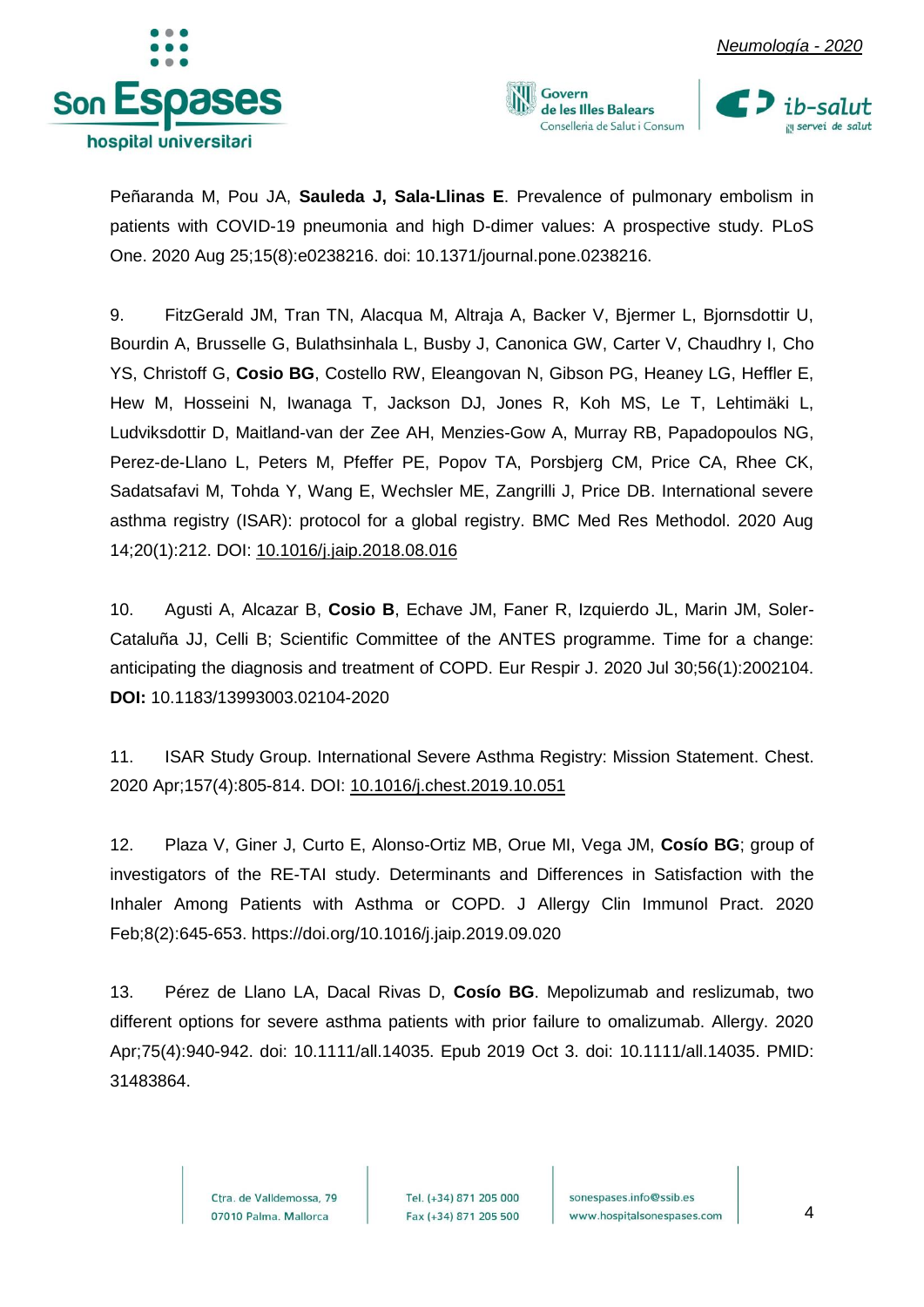





Peñaranda M, Pou JA, **Sauleda J, Sala-Llinas E**. Prevalence of pulmonary embolism in patients with COVID-19 pneumonia and high D-dimer values: A prospective study. PLoS One. 2020 Aug 25;15(8):e0238216. doi: 10.1371/journal.pone.0238216.

9. FitzGerald JM, Tran TN, Alacqua M, Altraja A, Backer V, Bjermer L, Bjornsdottir U, Bourdin A, Brusselle G, Bulathsinhala L, Busby J, Canonica GW, Carter V, Chaudhry I, Cho YS, Christoff G, **Cosio BG**, Costello RW, Eleangovan N, Gibson PG, Heaney LG, Heffler E, Hew M, Hosseini N, Iwanaga T, Jackson DJ, Jones R, Koh MS, Le T, Lehtimäki L, Ludviksdottir D, Maitland-van der Zee AH, Menzies-Gow A, Murray RB, Papadopoulos NG, Perez-de-Llano L, Peters M, Pfeffer PE, Popov TA, Porsbjerg CM, Price CA, Rhee CK, Sadatsafavi M, Tohda Y, Wang E, Wechsler ME, Zangrilli J, Price DB. International severe asthma registry (ISAR): protocol for a global registry. BMC Med Res Methodol. 2020 Aug 14;20(1):212. DOI: [10.1016/j.jaip.2018.08.016](https://doi.org/10.1016/j.jaip.2018.08.016)

10. Agusti A, Alcazar B, **Cosio B**, Echave JM, Faner R, Izquierdo JL, Marin JM, Soler-Cataluña JJ, Celli B; Scientific Committee of the ANTES programme. Time for a change: anticipating the diagnosis and treatment of COPD. Eur Respir J. 2020 Jul 30;56(1):2002104. **DOI:** 10.1183/13993003.02104-2020

11. ISAR Study Group. International Severe Asthma Registry: Mission Statement. Chest. 2020 Apr;157(4):805-814. DOI: [10.1016/j.chest.2019.10.051](https://doi.org/10.1016/j.chest.2019.10.051)

12. Plaza V, Giner J, Curto E, Alonso-Ortiz MB, Orue MI, Vega JM, **Cosío BG**; group of investigators of the RE-TAI study. Determinants and Differences in Satisfaction with the Inhaler Among Patients with Asthma or COPD. J Allergy Clin Immunol Pract. 2020 Feb;8(2):645-653.<https://doi.org/10.1016/j.jaip.2019.09.020>

13. Pérez de Llano LA, Dacal Rivas D, **Cosío BG**. Mepolizumab and reslizumab, two different options for severe asthma patients with prior failure to omalizumab. Allergy. 2020 Apr;75(4):940-942. doi: 10.1111/all.14035. Epub 2019 Oct 3. doi: 10.1111/all.14035. PMID: 31483864.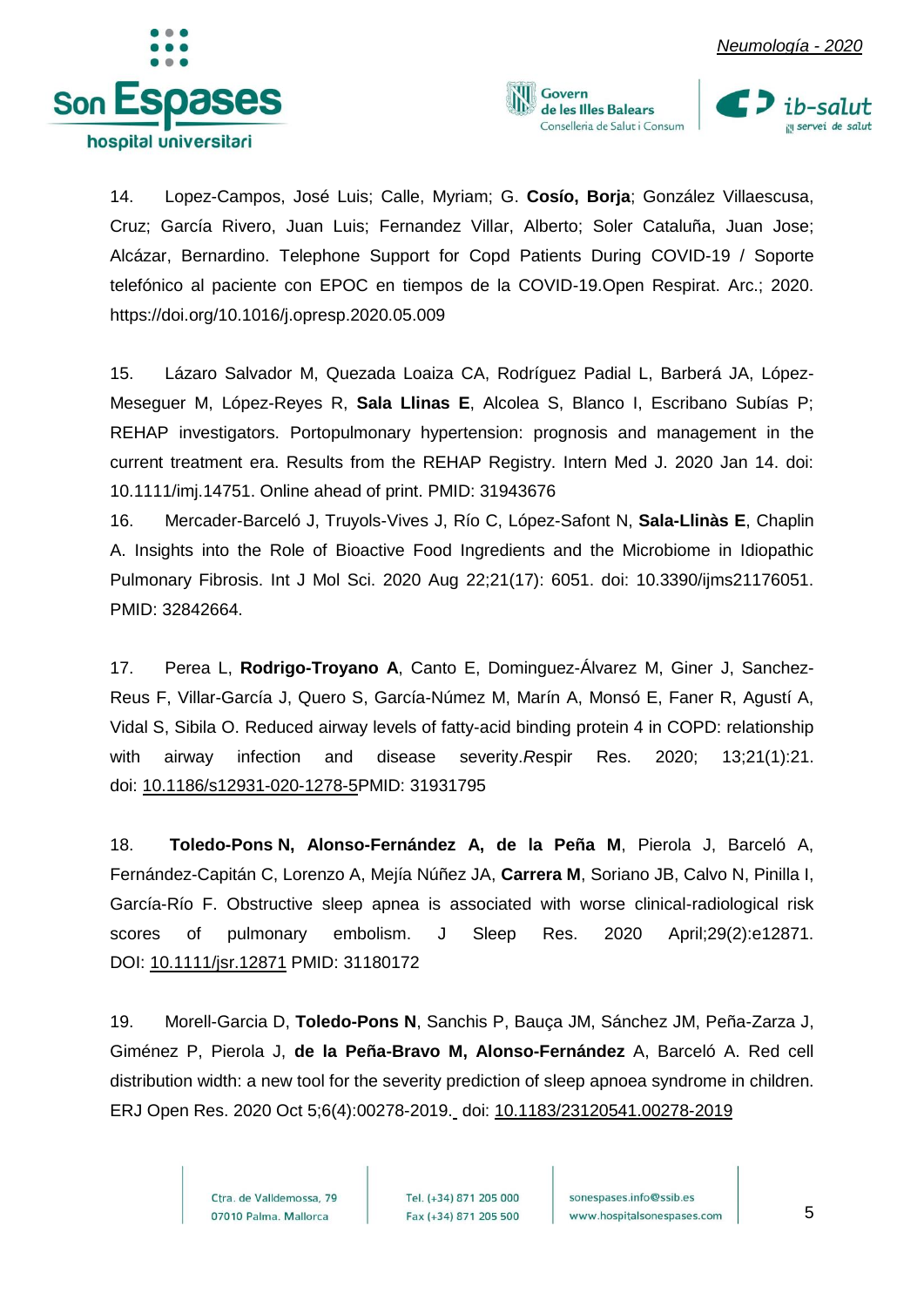





14. Lopez-Campos, José Luis; Calle, Myriam; G. **Cosío, Borja**; González Villaescusa, Cruz; García Rivero, Juan Luis; Fernandez Villar, Alberto; Soler Cataluña, Juan Jose; Alcázar, Bernardino. Telephone Support for Copd Patients During COVID-19 / Soporte telefónico al paciente con EPOC en tiempos de la COVID-19.Open Respirat. Arc.; 2020. <https://doi.org/10.1016/j.opresp.2020.05.009>

15. Lázaro Salvador M, Quezada Loaiza CA, Rodríguez Padial L, Barberá JA, López-Meseguer M, López-Reyes R, **Sala Llinas E**, Alcolea S, Blanco I, Escribano Subías P; REHAP investigators. Portopulmonary hypertension: prognosis and management in the current treatment era. Results from the REHAP Registry. Intern Med J. 2020 Jan 14. doi: 10.1111/imj.14751. Online ahead of print. PMID: 31943676

16. Mercader-Barceló J, Truyols-Vives J, Río C, López-Safont N, **Sala-Llinàs E**, Chaplin A. Insights into the Role of Bioactive Food Ingredients and the Microbiome in Idiopathic Pulmonary Fibrosis. Int J Mol Sci. 2020 Aug 22;21(17): 6051. doi: 10.3390/ijms21176051. PMID: 32842664.

17. Perea L, **Rodrigo-Troyano A**, Canto E, Dominguez-Álvarez M, Giner J, Sanchez-Reus F, Villar-García J, Quero S, García-Númez M, Marín A, Monsó E, Faner R, Agustí A, Vidal S, Sibila O. Reduced airway levels of fatty-acid binding protein 4 in COPD: relationship with airway infection and disease severity.*R*espir Res. 2020; 13;21(1):21. doi: [10.1186/s12931-020-1278-5P](https://dx.doi.org/10.1186%2Fs12931-020-1278-5)MID: 31931795

18. **Toledo-Pons N, Alonso-Fernández A, de la Peña M**, Pierola J, Barceló A, Fernández-Capitán C, Lorenzo A, Mejía Núñez JA, **Carrera M**, Soriano JB, Calvo N, Pinilla I, García-Río F. Obstructive sleep apnea is associated with worse clinical-radiological risk scores of pulmonary embolism. J Sleep Res. 2020 April;29(2):e12871. DOI: [10.1111/jsr.12871](https://doi.org/10.1111/jsr.12871) PMID: 31180172

19. Morell-Garcia D, **Toledo-Pons N**, Sanchis P, Bauça JM, Sánchez JM, Peña-Zarza J, Giménez P, Pierola J, **de la Peña-Bravo M, Alonso-Fernández** A, Barceló A. Red cell distribution width: a new tool for the severity prediction of sleep apnoea syndrome in children. ERJ Open Res. 2020 Oct 5;6(4):00278-2019. doi: [10.1183/23120541.00278-2019](https://dx.doi.org/10.1183%2F23120541.00278-2019)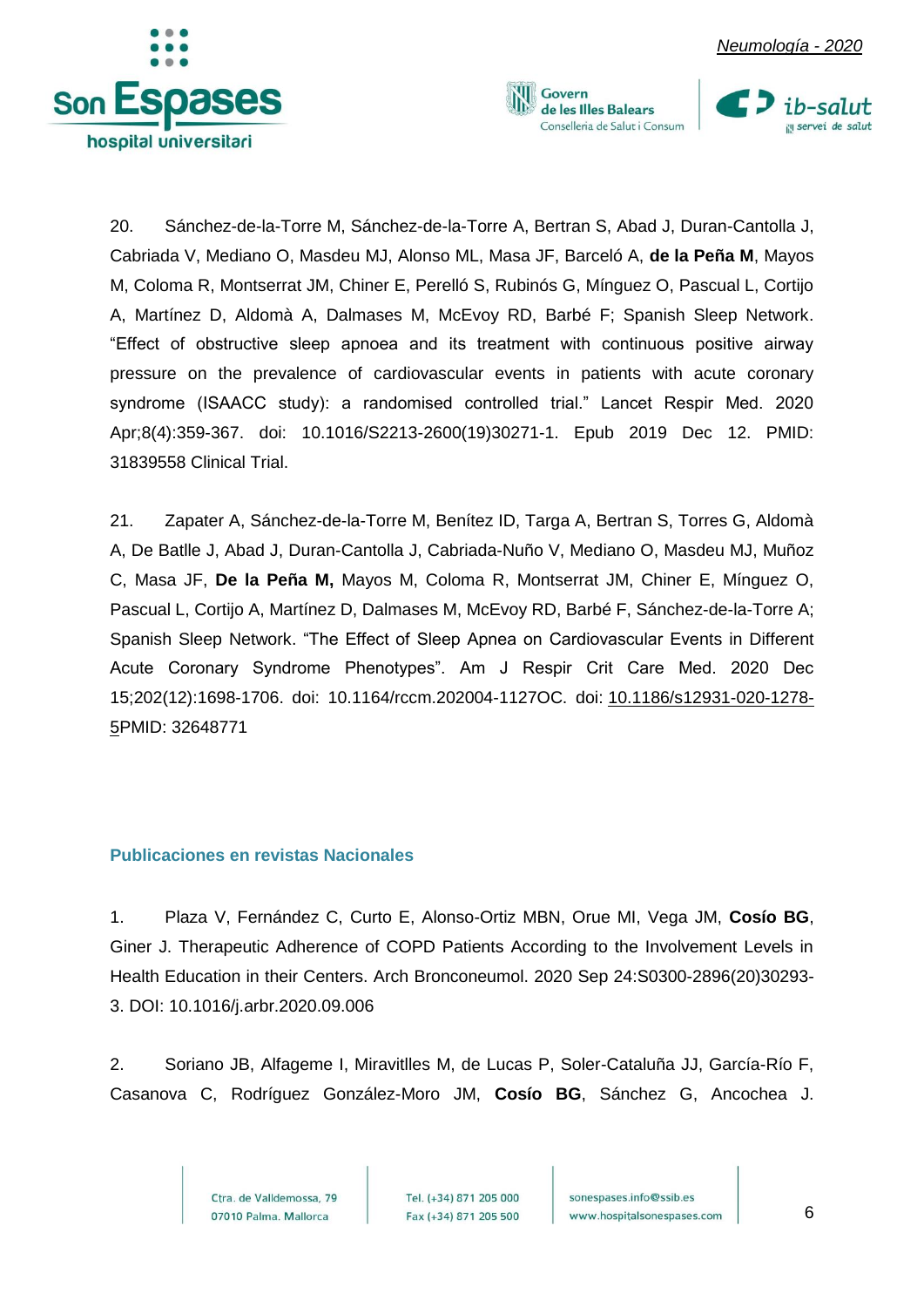

20. Sánchez-de-la-Torre M, Sánchez-de-la-Torre A, Bertran S, Abad J, Duran-Cantolla J, Cabriada V, Mediano O, Masdeu MJ, Alonso ML, Masa JF, Barceló A, **de la Peña M**, Mayos M, Coloma R, Montserrat JM, Chiner E, Perelló S, Rubinós G, Mínguez O, Pascual L, Cortijo A, Martínez D, Aldomà A, Dalmases M, McEvoy RD, Barbé F; Spanish Sleep Network. "Effect of obstructive sleep apnoea and its treatment with continuous positive airway pressure on the prevalence of cardiovascular events in patients with acute coronary syndrome (ISAACC study): a randomised controlled trial." Lancet Respir Med. 2020 Apr;8(4):359-367. doi: 10.1016/S2213-2600(19)30271-1. Epub 2019 Dec 12. PMID: 31839558 Clinical Trial.

Govern

de les Illes Balears Conselleria de Salut i Consum

21. Zapater A, Sánchez-de-la-Torre M, Benítez ID, Targa A, Bertran S, Torres G, Aldomà A, De Batlle J, Abad J, Duran-Cantolla J, Cabriada-Nuño V, Mediano O, Masdeu MJ, Muñoz C, Masa JF, **De la Peña M,** Mayos M, Coloma R, Montserrat JM, Chiner E, Mínguez O, Pascual L, Cortijo A, Martínez D, Dalmases M, McEvoy RD, Barbé F, Sánchez-de-la-Torre A; Spanish Sleep Network. "The Effect of Sleep Apnea on Cardiovascular Events in Different Acute Coronary Syndrome Phenotypes". Am J Respir Crit Care Med. 2020 Dec 15;202(12):1698-1706. doi: 10.1164/rccm.202004-1127OC. doi: [10.1186/s12931-020-1278-](https://dx.doi.org/10.1186%2Fs12931-020-1278-5) [5P](https://dx.doi.org/10.1186%2Fs12931-020-1278-5)MID: 32648771

#### <span id="page-6-0"></span>**Publicaciones en revistas Nacionales**

1. Plaza V, Fernández C, Curto E, Alonso-Ortiz MBN, Orue MI, Vega JM, **Cosío BG**, Giner J. Therapeutic Adherence of COPD Patients According to the Involvement Levels in Health Education in their Centers. Arch Bronconeumol. 2020 Sep 24:S0300-2896(20)30293- 3. DOI: 10.1016/j.arbr.2020.09.006

2. Soriano JB, Alfageme I, Miravitlles M, de Lucas P, Soler-Cataluña JJ, García-Río F, Casanova C, Rodríguez González-Moro JM, **Cosío BG**, Sánchez G, Ancochea J.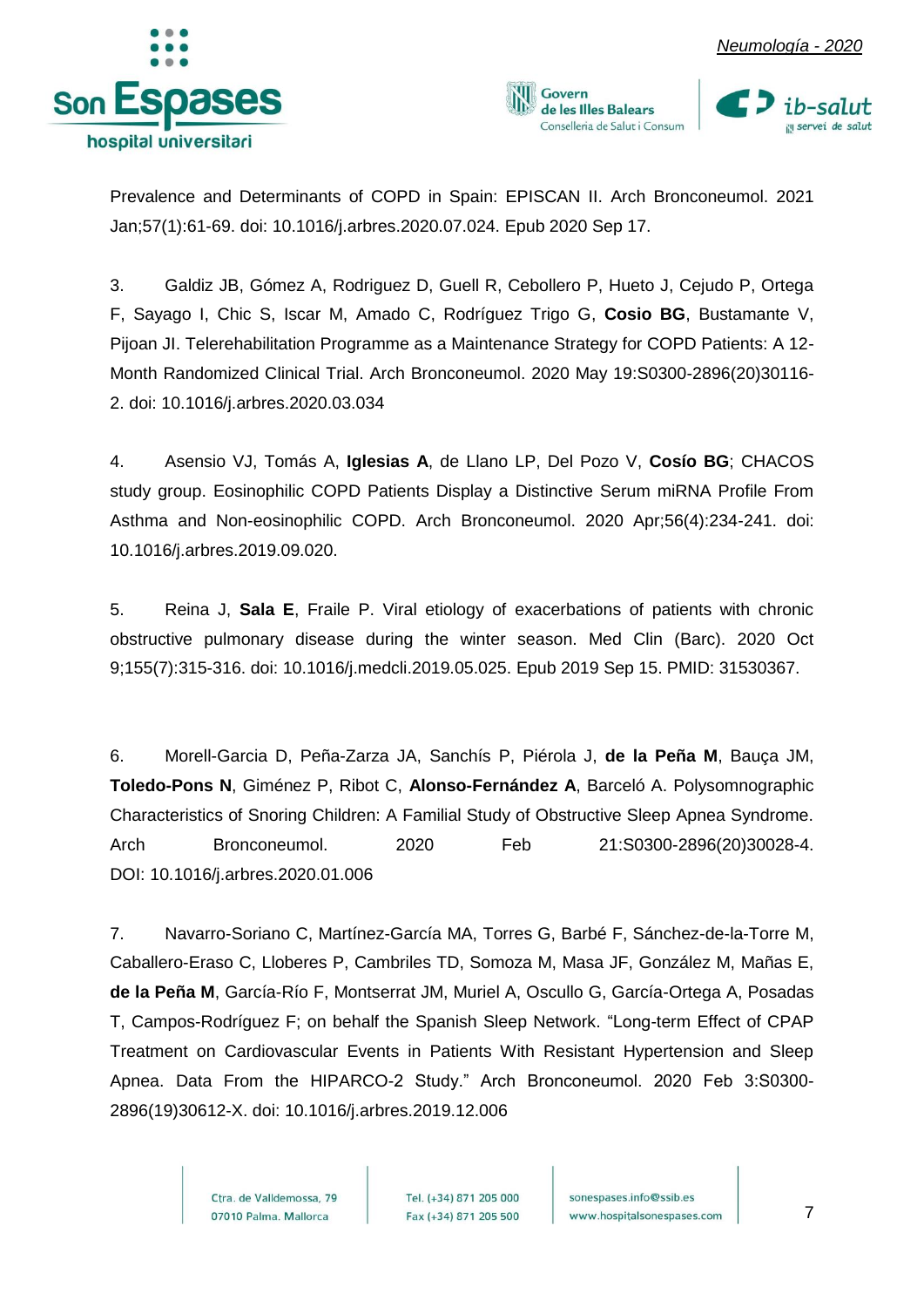





Prevalence and Determinants of COPD in Spain: EPISCAN II. Arch Bronconeumol. 2021 Jan;57(1):61-69. doi: 10.1016/j.arbres.2020.07.024. Epub 2020 Sep 17.

3. Galdiz JB, Gómez A, Rodriguez D, Guell R, Cebollero P, Hueto J, Cejudo P, Ortega F, Sayago I, Chic S, Iscar M, Amado C, Rodríguez Trigo G, **Cosio BG**, Bustamante V, Pijoan JI. Telerehabilitation Programme as a Maintenance Strategy for COPD Patients: A 12- Month Randomized Clinical Trial. Arch Bronconeumol. 2020 May 19:S0300-2896(20)30116- 2. doi: 10.1016/j.arbres.2020.03.034

4. Asensio VJ, Tomás A, **Iglesias A**, de Llano LP, Del Pozo V, **Cosío BG**; CHACOS study group. Eosinophilic COPD Patients Display a Distinctive Serum miRNA Profile From Asthma and Non-eosinophilic COPD. Arch Bronconeumol. 2020 Apr;56(4):234-241. doi: 10.1016/j.arbres.2019.09.020.

5. Reina J, **Sala E**, Fraile P. Viral etiology of exacerbations of patients with chronic obstructive pulmonary disease during the winter season. Med Clin (Barc). 2020 Oct 9;155(7):315-316. doi: 10.1016/j.medcli.2019.05.025. Epub 2019 Sep 15. PMID: 31530367.

6. Morell-Garcia D, Peña-Zarza JA, Sanchís P, Piérola J, **de la Peña M**, Bauça JM, **Toledo-Pons N**, Giménez P, Ribot C, **Alonso-Fernández A**, Barceló A. Polysomnographic Characteristics of Snoring Children: A Familial Study of Obstructive Sleep Apnea Syndrome. Arch Bronconeumol. 2020 Feb 21:S0300-2896(20)30028-4. DOI: [10.1016/j.arbres.2020.01.006](https://doi.org/10.1016/j.arbres.2020.01.006)

7. Navarro-Soriano C, Martínez-García MA, Torres G, Barbé F, Sánchez-de-la-Torre M, Caballero-Eraso C, Lloberes P, Cambriles TD, Somoza M, Masa JF, González M, Mañas E, **de la Peña M**, García-Río F, Montserrat JM, Muriel A, Oscullo G, García-Ortega A, Posadas T, Campos-Rodríguez F; on behalf the Spanish Sleep Network. "Long-term Effect of CPAP Treatment on Cardiovascular Events in Patients With Resistant Hypertension and Sleep Apnea. Data From the HIPARCO-2 Study." Arch Bronconeumol. 2020 Feb 3:S0300- 2896(19)30612-X. doi: 10.1016/j.arbres.2019.12.006

> Ctra, de Valldemossa, 79 07010 Palma. Mallorca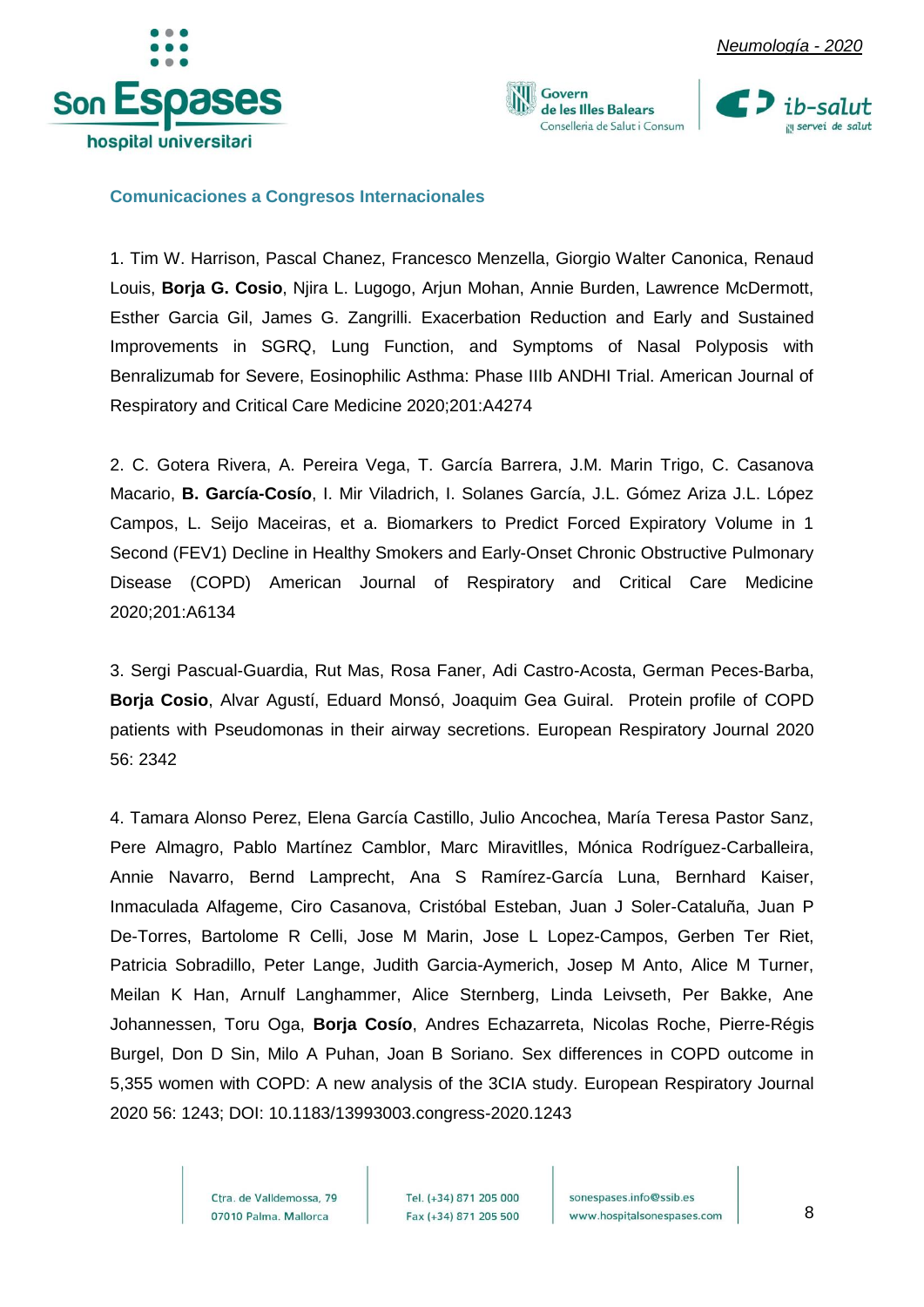



Govern de les Illes Balears Conselleria de Salut i Consum



#### <span id="page-8-0"></span>**Comunicaciones a Congresos Internacionales**

1. Tim W. Harrison, Pascal Chanez, Francesco Menzella, Giorgio Walter Canonica, Renaud Louis, **Borja G. Cosio**, Njira L. Lugogo, Arjun Mohan, Annie Burden, Lawrence McDermott, Esther Garcia Gil, James G. Zangrilli. Exacerbation Reduction and Early and Sustained Improvements in SGRQ, Lung Function, and Symptoms of Nasal Polyposis with Benralizumab for Severe, Eosinophilic Asthma: Phase IIIb ANDHI Trial. American Journal of Respiratory and Critical Care Medicine 2020;201:A4274

2. C. Gotera Rivera, A. Pereira Vega, T. García Barrera, J.M. Marin Trigo, C. Casanova Macario, **B. García-Cosío**, I. Mir Viladrich, I. Solanes García, J.L. Gómez Ariza J.L. López Campos, L. Seijo Maceiras, et a. Biomarkers to Predict Forced Expiratory Volume in 1 Second (FEV1) Decline in Healthy Smokers and Early-Onset Chronic Obstructive Pulmonary Disease (COPD) American Journal of Respiratory and Critical Care Medicine 2020;201:A6134

3. Sergi Pascual-Guardia, Rut Mas, Rosa Faner, Adi Castro-Acosta, German Peces-Barba, **Borja Cosio**, Alvar Agustí, Eduard Monsó, Joaquim Gea Guiral. Protein profile of COPD patients with Pseudomonas in their airway secretions. European Respiratory Journal 2020 56: 2342

4. Tamara Alonso Perez, Elena García Castillo, Julio Ancochea, María Teresa Pastor Sanz, Pere Almagro, Pablo Martínez Camblor, Marc Miravitlles, Mónica Rodríguez-Carballeira, Annie Navarro, Bernd Lamprecht, Ana S Ramírez-García Luna, Bernhard Kaiser, Inmaculada Alfageme, Ciro Casanova, Cristóbal Esteban, Juan J Soler-Cataluña, Juan P De-Torres, Bartolome R Celli, Jose M Marin, Jose L Lopez-Campos, Gerben Ter Riet, Patricia Sobradillo, Peter Lange, Judith Garcia-Aymerich, Josep M Anto, Alice M Turner, Meilan K Han, Arnulf Langhammer, Alice Sternberg, Linda Leivseth, Per Bakke, Ane Johannessen, Toru Oga, **Borja Cosío**, Andres Echazarreta, Nicolas Roche, Pierre-Régis Burgel, Don D Sin, Milo A Puhan, Joan B Soriano. Sex differences in COPD outcome in 5,355 women with COPD: A new analysis of the 3CIA study. European Respiratory Journal 2020 56: 1243; DOI: 10.1183/13993003.congress-2020.1243

> Ctra, de Valldemossa, 79 07010 Palma. Mallorca

Tel. (+34) 871 205 000 Fax (+34) 871 205 500

sonespases.info@ssib.es www.hospitalsonespases.com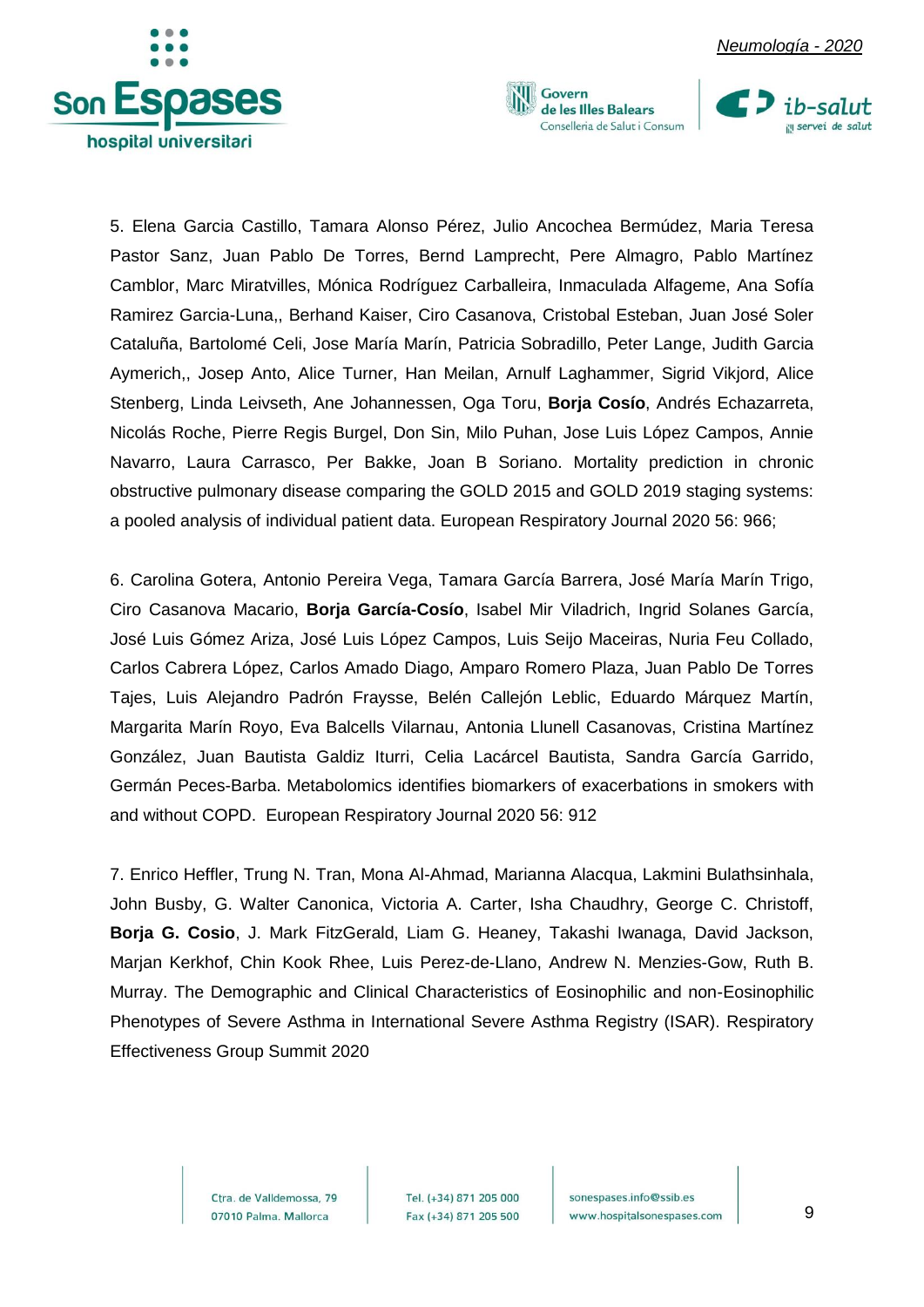



Govern de les Illes Balears Conselleria de Salut i Consum



5. Elena Garcia Castillo, Tamara Alonso Pérez, Julio Ancochea Bermúdez, Maria Teresa Pastor Sanz, Juan Pablo De Torres, Bernd Lamprecht, Pere Almagro, Pablo Martínez Camblor, Marc Miratvilles, Mónica Rodríguez Carballeira, Inmaculada Alfageme, Ana Sofía Ramirez Garcia-Luna,, Berhand Kaiser, Ciro Casanova, Cristobal Esteban, Juan José Soler Cataluña, Bartolomé Celi, Jose María Marín, Patricia Sobradillo, Peter Lange, Judith Garcia Aymerich,, Josep Anto, Alice Turner, Han Meilan, Arnulf Laghammer, Sigrid Vikjord, Alice Stenberg, Linda Leivseth, Ane Johannessen, Oga Toru, **Borja Cosío**, Andrés Echazarreta, Nicolás Roche, Pierre Regis Burgel, Don Sin, Milo Puhan, Jose Luis López Campos, Annie Navarro, Laura Carrasco, Per Bakke, Joan B Soriano. Mortality prediction in chronic obstructive pulmonary disease comparing the GOLD 2015 and GOLD 2019 staging systems: a pooled analysis of individual patient data. European Respiratory Journal 2020 56: 966;

6. Carolina Gotera, Antonio Pereira Vega, Tamara García Barrera, José María Marín Trigo, Ciro Casanova Macario, **Borja García-Cosío**, Isabel Mir Viladrich, Ingrid Solanes García, José Luis Gómez Ariza, José Luis López Campos, Luis Seijo Maceiras, Nuria Feu Collado, Carlos Cabrera López, Carlos Amado Diago, Amparo Romero Plaza, Juan Pablo De Torres Tajes, Luis Alejandro Padrón Fraysse, Belén Callejón Leblic, Eduardo Márquez Martín, Margarita Marín Royo, Eva Balcells Vilarnau, Antonia Llunell Casanovas, Cristina Martínez González, Juan Bautista Galdiz Iturri, Celia Lacárcel Bautista, Sandra García Garrido, Germán Peces-Barba. Metabolomics identifies biomarkers of exacerbations in smokers with and without COPD. European Respiratory Journal 2020 56: 912

7. Enrico Heffler, Trung N. Tran, Mona Al-Ahmad, Marianna Alacqua, Lakmini Bulathsinhala, John Busby, G. Walter Canonica, Victoria A. Carter, Isha Chaudhry, George C. Christoff, **Borja G. Cosio**, J. Mark FitzGerald, Liam G. Heaney, Takashi Iwanaga, David Jackson, Marjan Kerkhof, Chin Kook Rhee, Luis Perez-de-Llano, Andrew N. Menzies-Gow, Ruth B. Murray. The Demographic and Clinical Characteristics of Eosinophilic and non-Eosinophilic Phenotypes of Severe Asthma in International Severe Asthma Registry (ISAR). Respiratory Effectiveness Group Summit 2020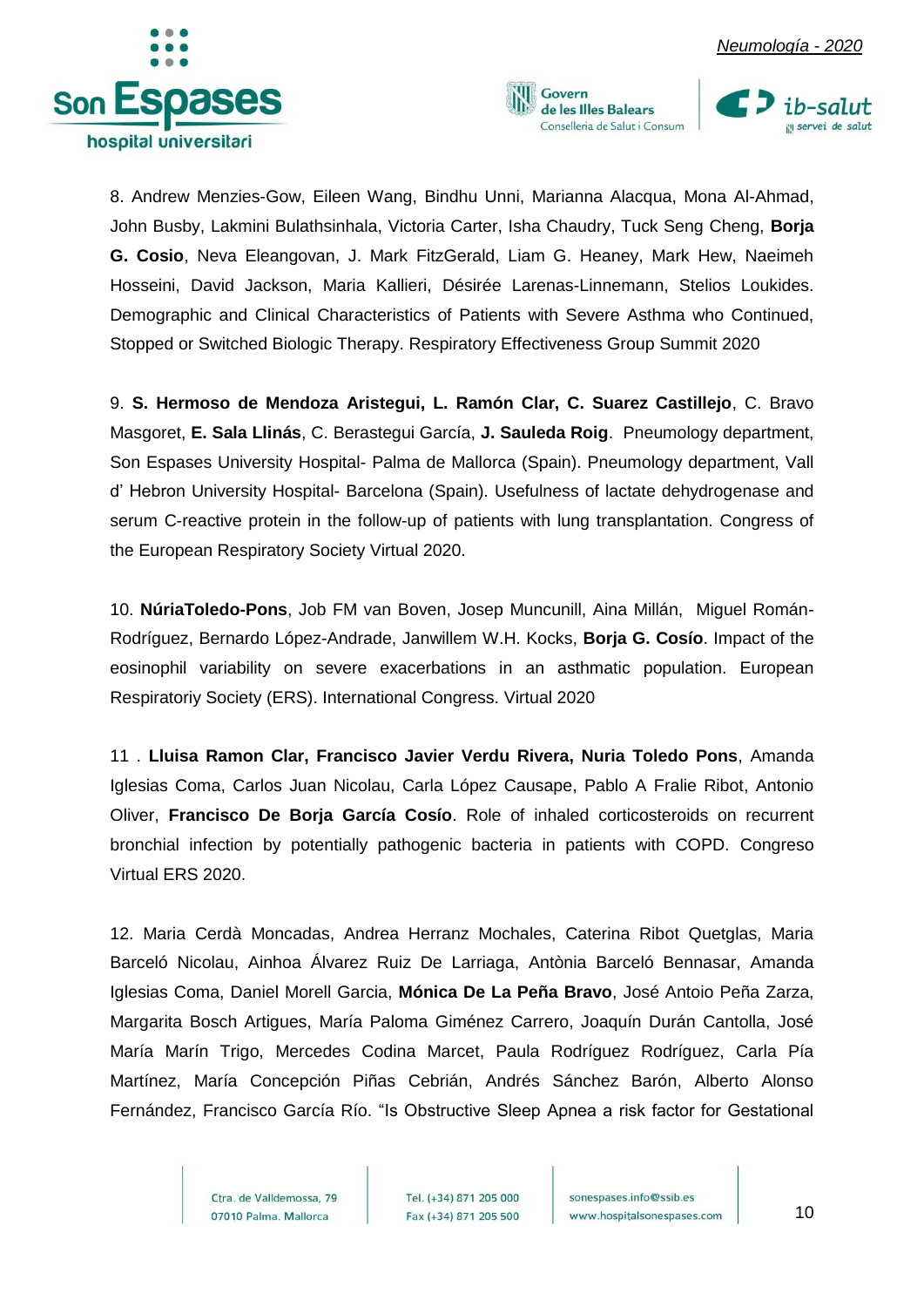





8. Andrew Menzies-Gow, Eileen Wang, Bindhu Unni, Marianna Alacqua, Mona Al-Ahmad, John Busby, Lakmini Bulathsinhala, Victoria Carter, Isha Chaudry, Tuck Seng Cheng, **Borja G. Cosio**, Neva Eleangovan, J. Mark FitzGerald, Liam G. Heaney, Mark Hew, Naeimeh Hosseini, David Jackson, Maria Kallieri, Désirée Larenas-Linnemann, Stelios Loukides. Demographic and Clinical Characteristics of Patients with Severe Asthma who Continued, Stopped or Switched Biologic Therapy. Respiratory Effectiveness Group Summit 2020

9. **S. Hermoso de Mendoza Aristegui, L. Ramón Clar, C. Suarez Castillejo**, C. Bravo Masgoret, **E. Sala Llinás**, C. Berastegui García, **J. Sauleda Roig**. Pneumology department, Son Espases University Hospital- Palma de Mallorca (Spain). Pneumology department, Vall d' Hebron University Hospital- Barcelona (Spain). Usefulness of lactate dehydrogenase and serum C-reactive protein in the follow-up of patients with lung transplantation. Congress of the European Respiratory Society Virtual 2020.

10. **NúriaToledo-Pons**, Job FM van Boven, Josep Muncunill, Aina Millán, Miguel Román-Rodríguez, Bernardo López-Andrade, Janwillem W.H. Kocks, **Borja G. Cosío**. Impact of the eosinophil variability on severe exacerbations in an asthmatic population. European Respiratoriy Society (ERS). International Congress. Virtual 2020

11 . **Lluisa Ramon Clar, Francisco Javier Verdu Rivera, Nuria Toledo Pons**, Amanda Iglesias Coma, Carlos Juan Nicolau, Carla López Causape, Pablo A Fralie Ribot, Antonio Oliver, **Francisco De Borja García Cosío**. Role of inhaled corticosteroids on recurrent bronchial infection by potentially pathogenic bacteria in patients with COPD. Congreso Virtual ERS 2020.

12. Maria Cerdà Moncadas, Andrea Herranz Mochales, Caterina Ribot Quetglas, Maria Barceló Nicolau, Ainhoa Álvarez Ruiz De Larriaga, Antònia Barceló Bennasar, Amanda Iglesias Coma, Daniel Morell Garcia, **Mónica De La Peña Bravo**, José Antoio Peña Zarza, Margarita Bosch Artigues, María Paloma Giménez Carrero, Joaquín Durán Cantolla, José María Marín Trigo, Mercedes Codina Marcet, Paula Rodríguez Rodríguez, Carla Pía Martínez, María Concepción Piñas Cebrián, Andrés Sánchez Barón, Alberto Alonso Fernández, Francisco García Río. "Is Obstructive Sleep Apnea a risk factor for Gestational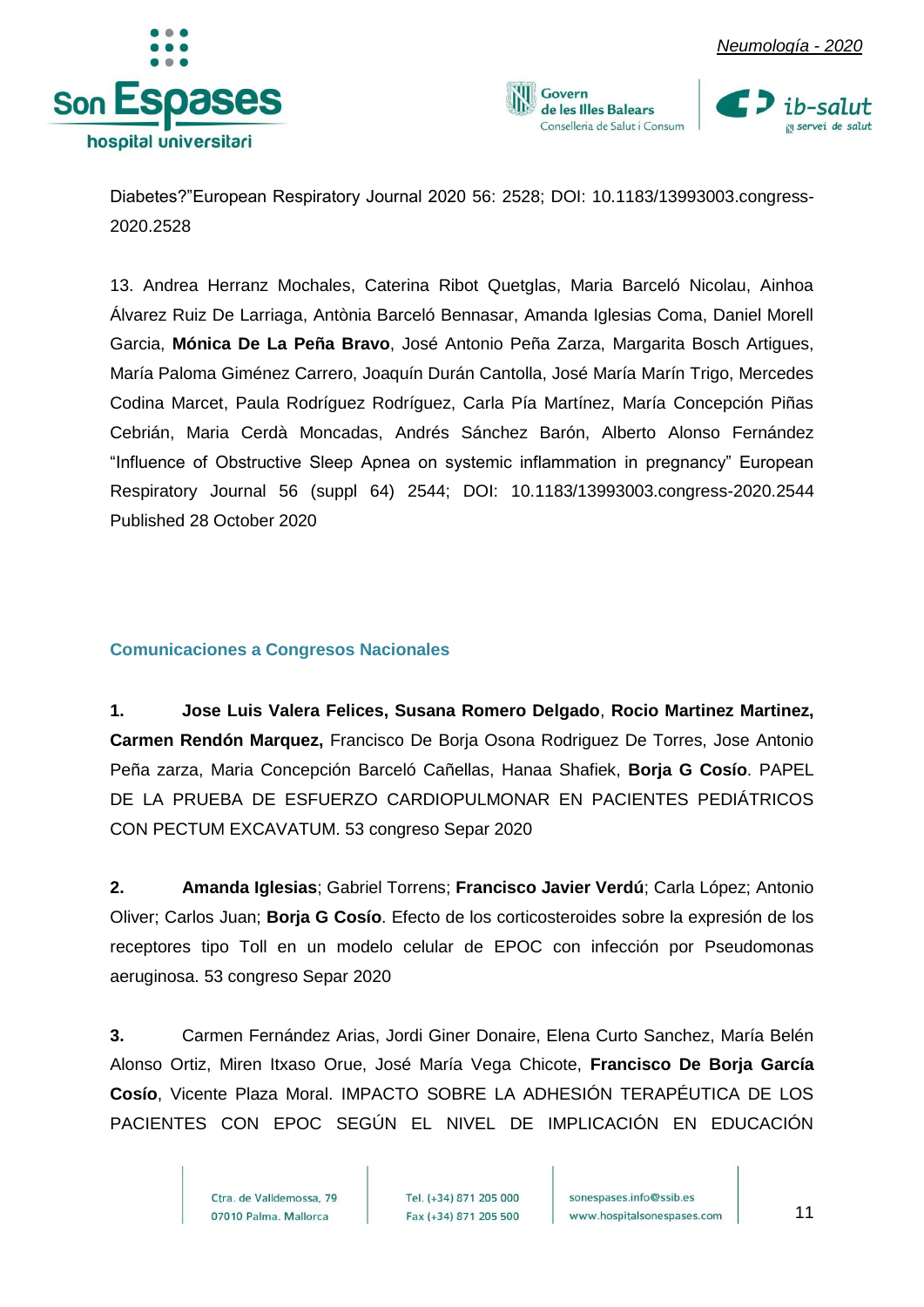







Diabetes?"European Respiratory Journal 2020 56: 2528; DOI: 10.1183/13993003.congress-2020.2528

13. Andrea Herranz Mochales, Caterina Ribot Quetglas, Maria Barceló Nicolau, Ainhoa Álvarez Ruiz De Larriaga, Antònia Barceló Bennasar, Amanda Iglesias Coma, Daniel Morell Garcia, **Mónica De La Peña Bravo**, José Antonio Peña Zarza, Margarita Bosch Artigues, María Paloma Giménez Carrero, Joaquín Durán Cantolla, José María Marín Trigo, Mercedes Codina Marcet, Paula Rodríguez Rodríguez, Carla Pía Martínez, María Concepción Piñas Cebrián, Maria Cerdà Moncadas, Andrés Sánchez Barón, Alberto Alonso Fernández "Influence of Obstructive Sleep Apnea on systemic inflammation in pregnancy" European Respiratory Journal 56 (suppl 64) 2544; DOI: 10.1183/13993003.congress-2020.2544 Published 28 October 2020

#### <span id="page-11-0"></span>**Comunicaciones a Congresos Nacionales**

**1. Jose Luis Valera Felices, Susana Romero Delgado**, **Rocio Martinez Martinez, Carmen Rendón Marquez,** Francisco De Borja Osona Rodriguez De Torres, Jose Antonio Peña zarza, Maria Concepción Barceló Cañellas, Hanaa Shafiek, **Borja G Cosío**. PAPEL DE LA PRUEBA DE ESFUERZO CARDIOPULMONAR EN PACIENTES PEDIÁTRICOS CON PECTUM EXCAVATUM. 53 congreso Separ 2020

**2. Amanda Iglesias**; Gabriel Torrens; **Francisco Javier Verdú**; Carla López; Antonio Oliver; Carlos Juan; **Borja G Cosío**. Efecto de los corticosteroides sobre la expresión de los receptores tipo Toll en un modelo celular de EPOC con infección por Pseudomonas aeruginosa. 53 congreso Separ 2020

**3.** Carmen Fernández Arias, Jordi Giner Donaire, Elena Curto Sanchez, María Belén Alonso Ortiz, Miren Itxaso Orue, José María Vega Chicote, **Francisco De Borja García Cosío**, Vicente Plaza Moral. IMPACTO SOBRE LA ADHESIÓN TERAPÉUTICA DE LOS PACIENTES CON EPOC SEGÚN EL NIVEL DE IMPLICACIÓN EN EDUCACIÓN

> Ctra, de Valldemossa, 79 07010 Palma. Mallorca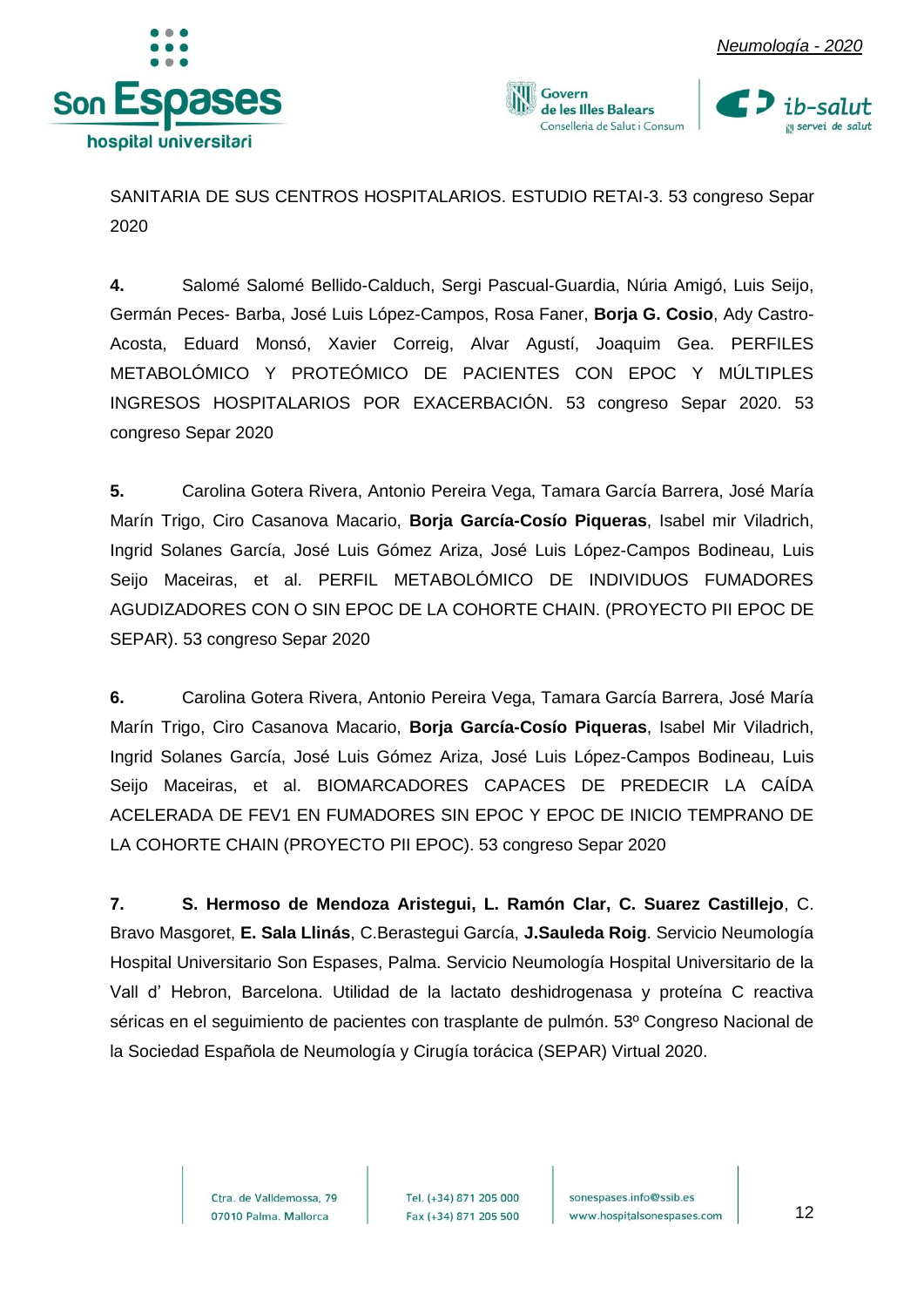







SANITARIA DE SUS CENTROS HOSPITALARIOS. ESTUDIO RETAI-3. 53 congreso Separ 2020

**4.** Salomé Salomé Bellido-Calduch, Sergi Pascual-Guardia, Núria Amigó, Luis Seijo, Germán Peces- Barba, José Luis López-Campos, Rosa Faner, **Borja G. Cosio**, Ady Castro-Acosta, Eduard Monsó, Xavier Correig, Alvar Agustí, Joaquim Gea. PERFILES METABOLÓMICO Y PROTEÓMICO DE PACIENTES CON EPOC Y MÚLTIPLES INGRESOS HOSPITALARIOS POR EXACERBACIÓN. 53 congreso Separ 2020. 53 congreso Separ 2020

**5.** Carolina Gotera Rivera, Antonio Pereira Vega, Tamara García Barrera, José María Marín Trigo, Ciro Casanova Macario, **Borja García-Cosío Piqueras**, Isabel mir Viladrich, Ingrid Solanes García, José Luis Gómez Ariza, José Luis López-Campos Bodineau, Luis Seijo Maceiras, et al. PERFIL METABOLÓMICO DE INDIVIDUOS FUMADORES AGUDIZADORES CON O SIN EPOC DE LA COHORTE CHAIN. (PROYECTO PII EPOC DE SEPAR). 53 congreso Separ 2020

**6.** Carolina Gotera Rivera, Antonio Pereira Vega, Tamara García Barrera, José María Marín Trigo, Ciro Casanova Macario, **Borja García-Cosío Piqueras**, Isabel Mir Viladrich, Ingrid Solanes García, José Luis Gómez Ariza, José Luis López-Campos Bodineau, Luis Seijo Maceiras, et al. BIOMARCADORES CAPACES DE PREDECIR LA CAÍDA ACELERADA DE FEV1 EN FUMADORES SIN EPOC Y EPOC DE INICIO TEMPRANO DE LA COHORTE CHAIN (PROYECTO PII EPOC). 53 congreso Separ 2020

**7. S. Hermoso de Mendoza Aristegui, L. Ramón Clar, C. Suarez Castillejo**, C. Bravo Masgoret, **E. Sala Llinás**, C.Berastegui García, **J.Sauleda Roig**. Servicio Neumología Hospital Universitario Son Espases, Palma. Servicio Neumología Hospital Universitario de la Vall d' Hebron, Barcelona. Utilidad de la lactato deshidrogenasa y proteína C reactiva séricas en el seguimiento de pacientes con trasplante de pulmón. 53º Congreso Nacional de la Sociedad Española de Neumología y Cirugía torácica (SEPAR) Virtual 2020.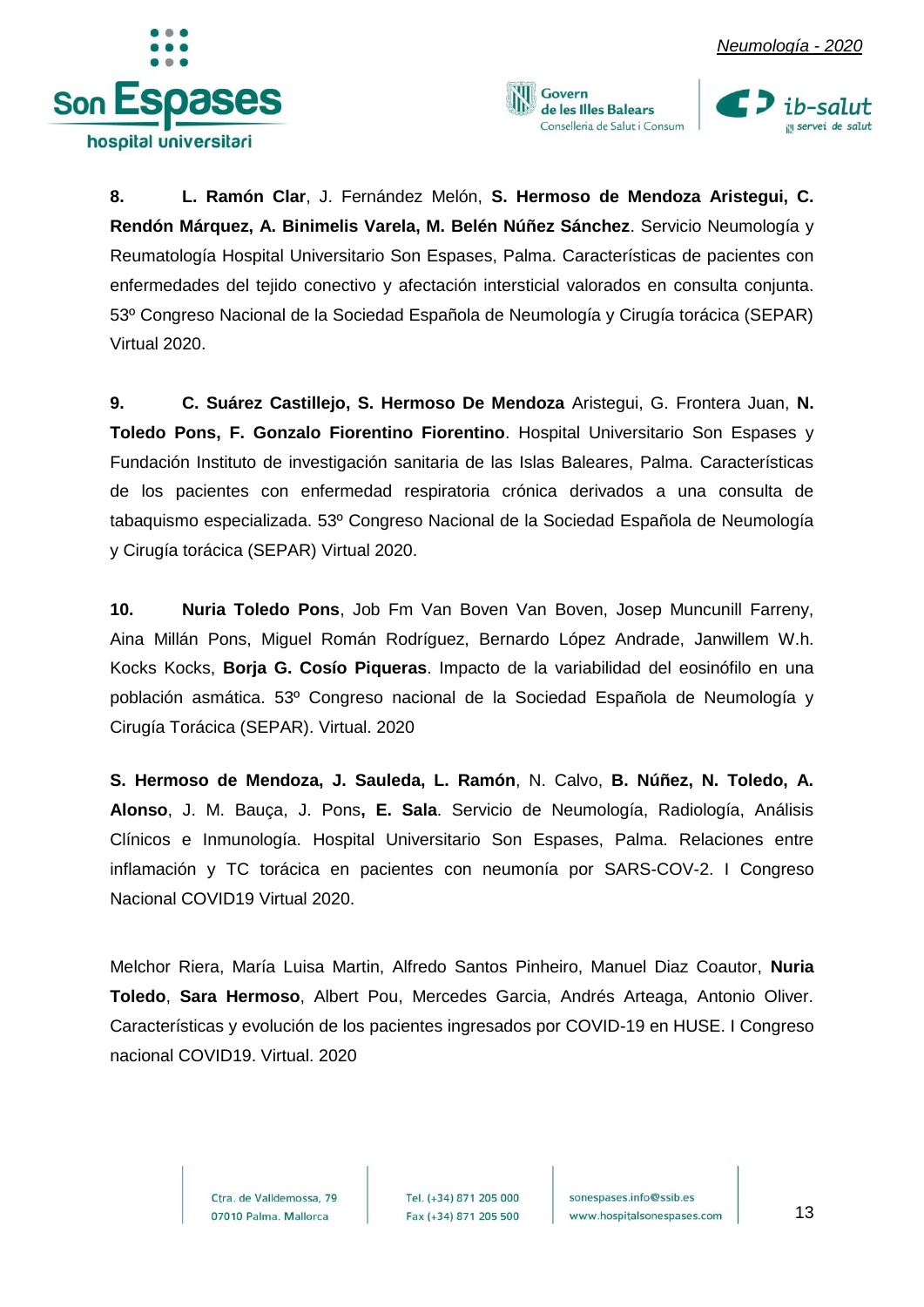





**8. L. Ramón Clar**, J. Fernández Melón, **S. Hermoso de Mendoza Aristegui, C. Rendón Márquez, A. Binimelis Varela, M. Belén Núñez Sánchez**. Servicio Neumología y Reumatología Hospital Universitario Son Espases, Palma. Características de pacientes con enfermedades del tejido conectivo y afectación intersticial valorados en consulta conjunta. 53º Congreso Nacional de la Sociedad Española de Neumología y Cirugía torácica (SEPAR) Virtual 2020.

**9. C. Suárez Castillejo, S. Hermoso De Mendoza** Aristegui, G. Frontera Juan, **N. Toledo Pons, F. Gonzalo Fiorentino Fiorentino**. Hospital Universitario Son Espases y Fundación Instituto de investigación sanitaria de las Islas Baleares, Palma. Características de los pacientes con enfermedad respiratoria crónica derivados a una consulta de tabaquismo especializada. 53º Congreso Nacional de la Sociedad Española de Neumología y Cirugía torácica (SEPAR) Virtual 2020.

**10. Nuria Toledo Pons**, Job Fm Van Boven Van Boven, Josep Muncunill Farreny, Aina Millán Pons, Miguel Román Rodríguez, Bernardo López Andrade, Janwillem W.h. Kocks Kocks, **Borja G. Cosío Piqueras**. Impacto de la variabilidad del eosinófilo en una población asmática. 53º Congreso nacional de la Sociedad Española de Neumología y Cirugía Torácica (SEPAR). Virtual. 2020

**S. Hermoso de Mendoza, J. Sauleda, L. Ramón**, N. Calvo, **B. Núñez, N. Toledo, A. Alonso**, J. M. Bauça, J. Pons**, E. Sala**. Servicio de Neumología, Radiología, Análisis Clínicos e Inmunología. Hospital Universitario Son Espases, Palma. Relaciones entre inflamación y TC torácica en pacientes con neumonía por SARS-COV-2. I Congreso Nacional COVID19 Virtual 2020.

Melchor Riera, María Luisa Martin, Alfredo Santos Pinheiro, Manuel Diaz Coautor, **Nuria Toledo**, **Sara Hermoso**, Albert Pou, Mercedes Garcia, Andrés Arteaga, Antonio Oliver. Características y evolución de los pacientes ingresados por COVID-19 en HUSE. I Congreso nacional COVID19. Virtual. 2020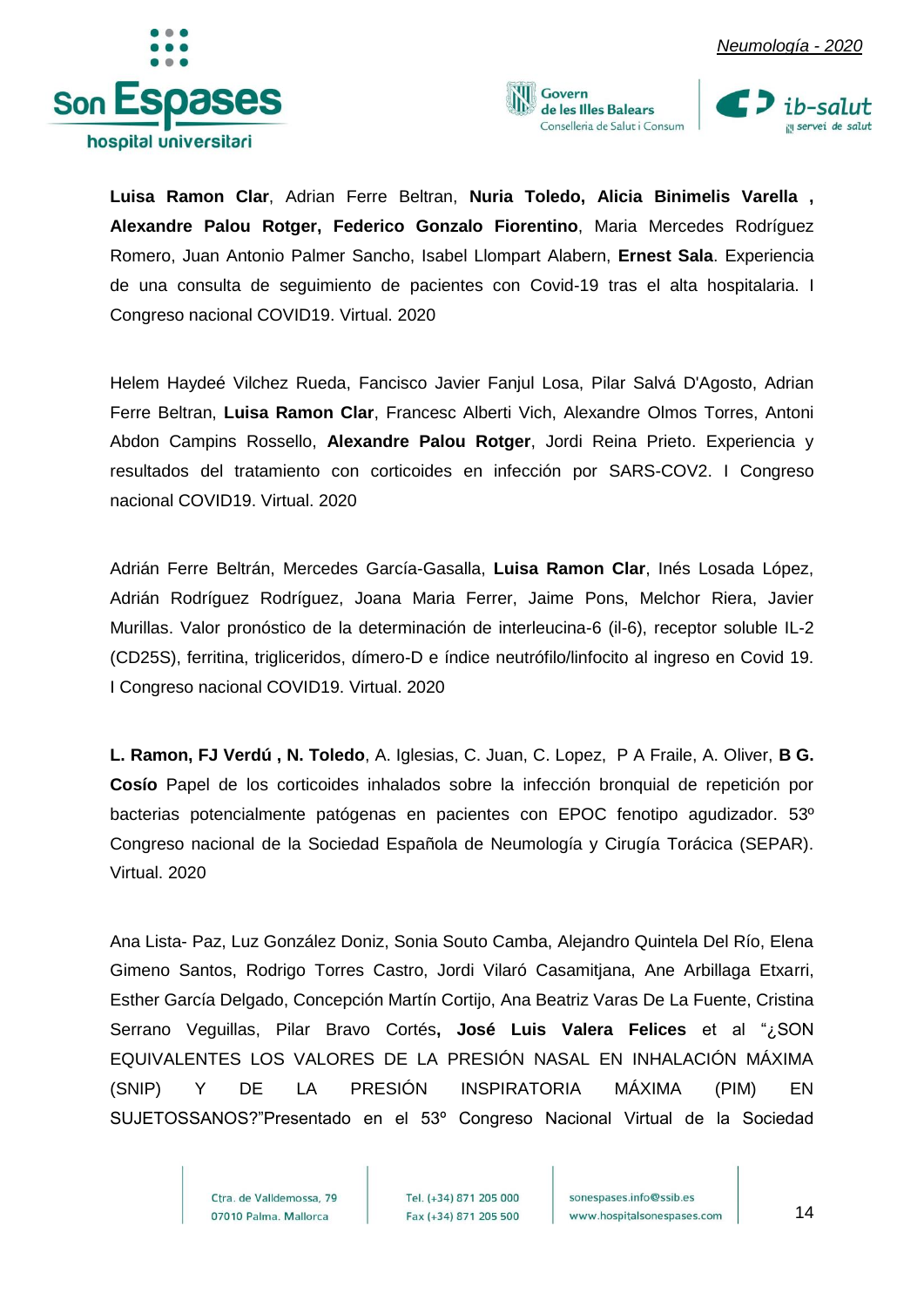





**Luisa Ramon Clar**, Adrian Ferre Beltran, **Nuria Toledo, Alicia Binimelis Varella , Alexandre Palou Rotger, Federico Gonzalo Fiorentino**, Maria Mercedes Rodríguez Romero, Juan Antonio Palmer Sancho, Isabel Llompart Alabern, **Ernest Sala**. Experiencia de una consulta de seguimiento de pacientes con Covid-19 tras el alta hospitalaria. I Congreso nacional COVID19. Virtual. 2020

Helem Haydeé Vilchez Rueda, Fancisco Javier Fanjul Losa, Pilar Salvá D'Agosto, Adrian Ferre Beltran, **Luisa Ramon Clar**, Francesc Alberti Vich, Alexandre Olmos Torres, Antoni Abdon Campins Rossello, **Alexandre Palou Rotger**, Jordi Reina Prieto. Experiencia y resultados del tratamiento con corticoides en infección por SARS-COV2. I Congreso nacional COVID19. Virtual. 2020

Adrián Ferre Beltrán, Mercedes García-Gasalla, **Luisa Ramon Clar**, Inés Losada López, Adrián Rodríguez Rodríguez, Joana Maria Ferrer, Jaime Pons, Melchor Riera, Javier Murillas. Valor pronóstico de la determinación de interleucina-6 (il-6), receptor soluble IL-2 (CD25S), ferritina, trigliceridos, dímero-D e índice neutrófilo/linfocito al ingreso en Covid 19. I Congreso nacional COVID19. Virtual. 2020

**L. Ramon, FJ Verdú , N. Toledo**, A. Iglesias, C. Juan, C. Lopez, P A Fraile, A. Oliver, **B G. Cosío** Papel de los corticoides inhalados sobre la infección bronquial de repetición por bacterias potencialmente patógenas en pacientes con EPOC fenotipo agudizador. 53º Congreso nacional de la Sociedad Española de Neumología y Cirugía Torácica (SEPAR). Virtual. 2020

Ana Lista- Paz, Luz González Doniz, Sonia Souto Camba, Alejandro Quintela Del Río, Elena Gimeno Santos, Rodrigo Torres Castro, Jordi Vilaró Casamitjana, Ane Arbillaga Etxarri, Esther García Delgado, Concepción Martín Cortijo, Ana Beatriz Varas De La Fuente, Cristina Serrano Veguillas, Pilar Bravo Cortés**, José Luis Valera Felices** et al "¿SON EQUIVALENTES LOS VALORES DE LA PRESIÓN NASAL EN INHALACIÓN MÁXIMA (SNIP) Y DE LA PRESIÓN INSPIRATORIA MÁXIMA (PIM) EN SUJETOSSANOS?"Presentado en el 53º Congreso Nacional Virtual de la Sociedad

> Ctra, de Valldemossa, 79 07010 Palma. Mallorca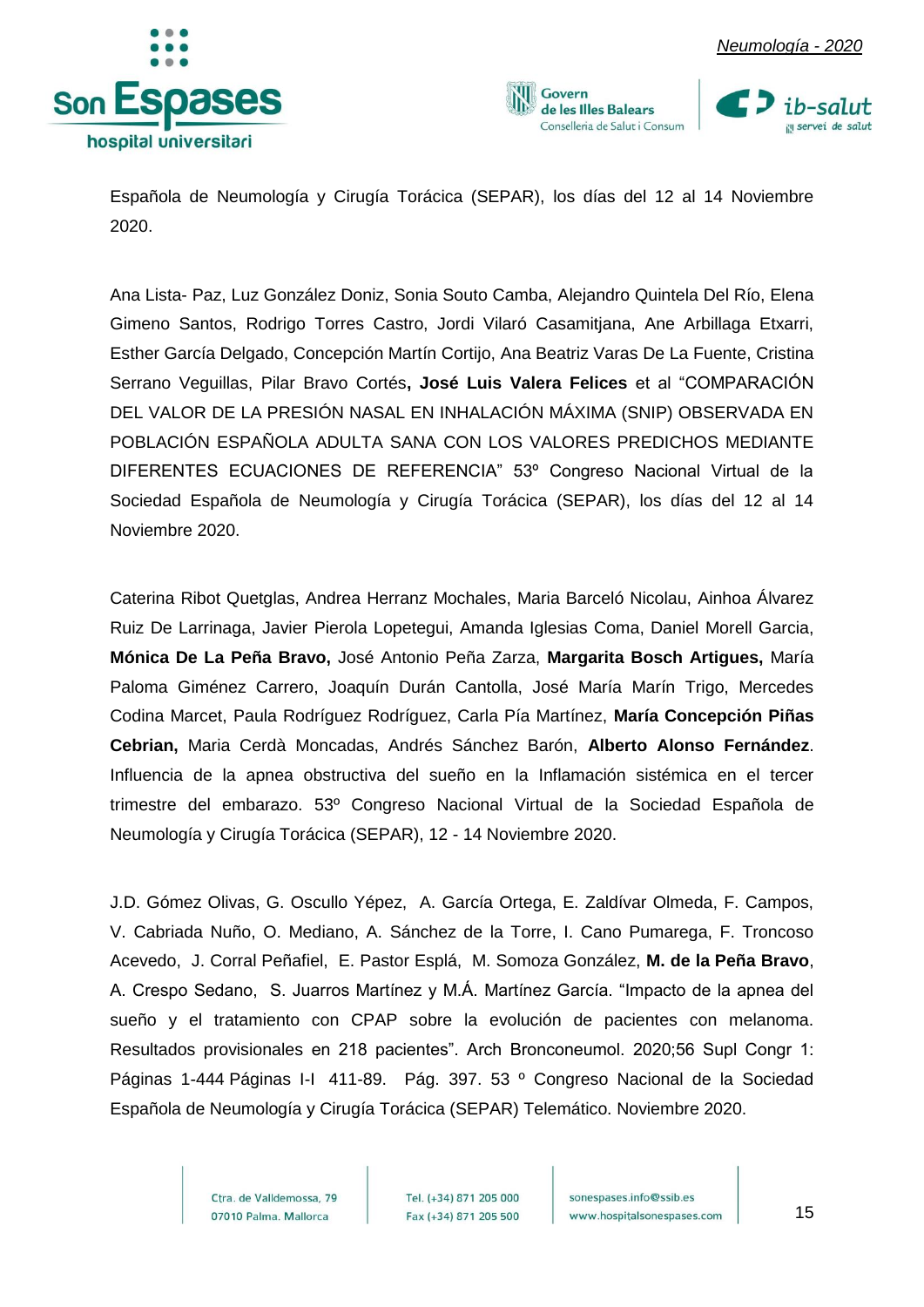







Española de Neumología y Cirugía Torácica (SEPAR), los días del 12 al 14 Noviembre 2020.

Ana Lista- Paz, Luz González Doniz, Sonia Souto Camba, Alejandro Quintela Del Río, Elena Gimeno Santos, Rodrigo Torres Castro, Jordi Vilaró Casamitjana, Ane Arbillaga Etxarri, Esther García Delgado, Concepción Martín Cortijo, Ana Beatriz Varas De La Fuente, Cristina Serrano Veguillas, Pilar Bravo Cortés**, José Luis Valera Felices** et al "COMPARACIÓN DEL VALOR DE LA PRESIÓN NASAL EN INHALACIÓN MÁXIMA (SNIP) OBSERVADA EN POBLACIÓN ESPAÑOLA ADULTA SANA CON LOS VALORES PREDICHOS MEDIANTE DIFERENTES ECUACIONES DE REFERENCIA" 53º Congreso Nacional Virtual de la Sociedad Española de Neumología y Cirugía Torácica (SEPAR), los días del 12 al 14 Noviembre 2020.

Caterina Ribot Quetglas, Andrea Herranz Mochales, Maria Barceló Nicolau, Ainhoa Álvarez Ruiz De Larrinaga, Javier Pierola Lopetegui, Amanda Iglesias Coma, Daniel Morell Garcia, **Mónica De La Peña Bravo,** José Antonio Peña Zarza, **Margarita Bosch Artigues,** María Paloma Giménez Carrero, Joaquín Durán Cantolla, José María Marín Trigo, Mercedes Codina Marcet, Paula Rodríguez Rodríguez, Carla Pía Martínez, **María Concepción Piñas Cebrian,** Maria Cerdà Moncadas, Andrés Sánchez Barón, **Alberto Alonso Fernández**. Influencia de la apnea obstructiva del sueño en la Inflamación sistémica en el tercer trimestre del embarazo. 53º Congreso Nacional Virtual de la Sociedad Española de Neumología y Cirugía Torácica (SEPAR), 12 - 14 Noviembre 2020.

J.D. Gómez Olivas, G. Oscullo Yépez, A. García Ortega, E. Zaldívar Olmeda, F. Campos, V. Cabriada Nuño, O. Mediano, A. Sánchez de la Torre, I. Cano Pumarega, F. Troncoso Acevedo, J. Corral Peñafiel, E. Pastor Esplá, M. Somoza González, **M. de la Peña Bravo**, A. Crespo Sedano, S. Juarros Martínez y M.Á. Martínez García. "Impacto de la apnea del sueño y el tratamiento con CPAP sobre la evolución de pacientes con melanoma. Resultados provisionales en 218 pacientes". Arch Bronconeumol. 2020;56 Supl Congr 1: Páginas 1-444 Páginas I-I 411-89. Pág. 397. 53 º Congreso Nacional de la Sociedad Española de Neumología y Cirugía Torácica (SEPAR) Telemático. Noviembre 2020.

> Ctra, de Valldemossa, 79 07010 Palma. Mallorca

Tel. (+34) 871 205 000 Fax (+34) 871 205 500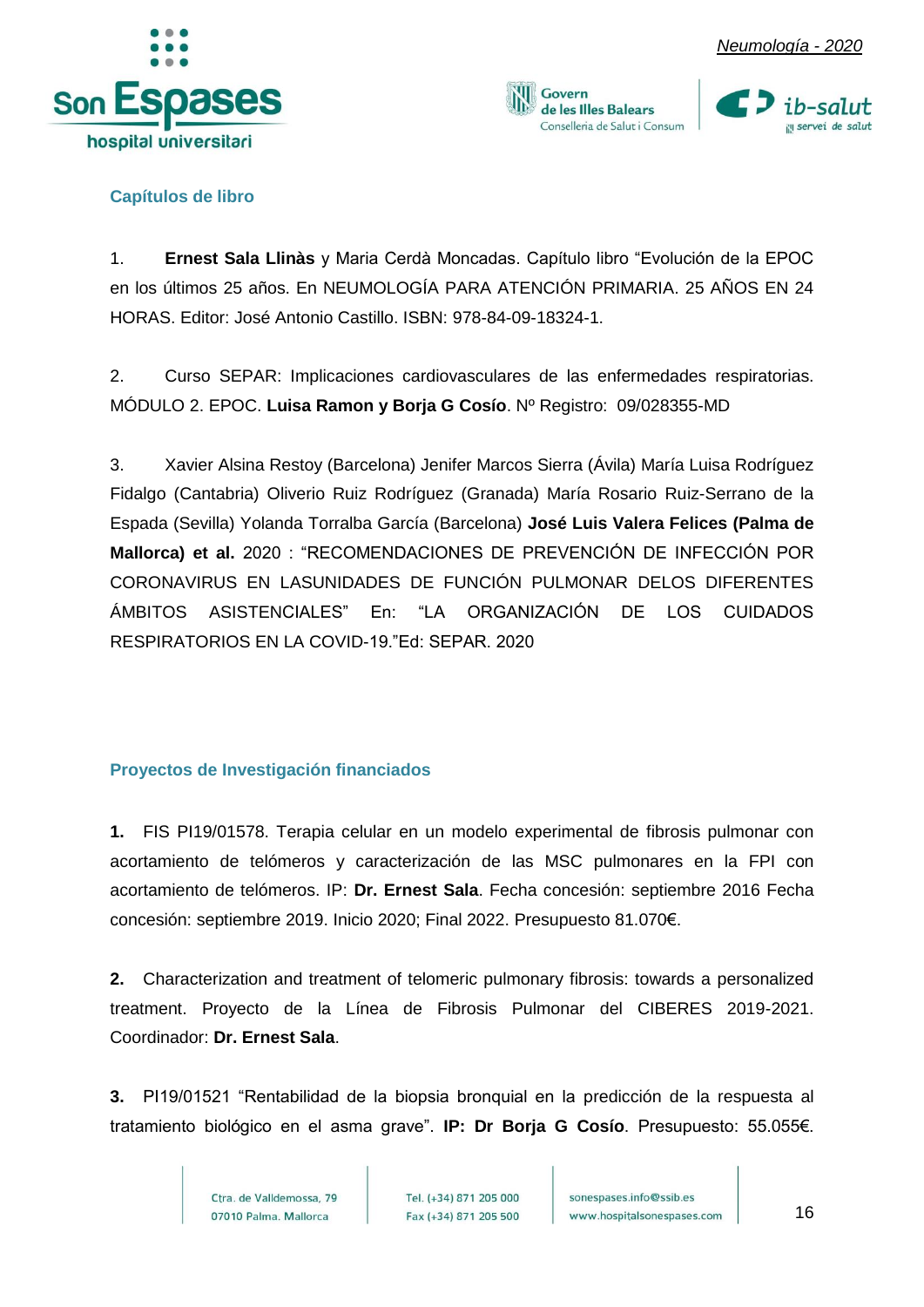







#### <span id="page-16-0"></span>**Capítulos de libro**

1. **Ernest Sala Llinàs** y Maria Cerdà Moncadas. Capítulo libro "Evolución de la EPOC en los últimos 25 años. En NEUMOLOGÍA PARA ATENCIÓN PRIMARIA. 25 AÑOS EN 24 HORAS. Editor: José Antonio Castillo. ISBN: 978-84-09-18324-1.

2. Curso SEPAR: Implicaciones cardiovasculares de las enfermedades respiratorias. MÓDULO 2. EPOC. **Luisa Ramon y Borja G Cosío**. Nº Registro: 09/028355-MD

3. Xavier Alsina Restoy (Barcelona) Jenifer Marcos Sierra (Ávila) María Luisa Rodríguez Fidalgo (Cantabria) Oliverio Ruiz Rodríguez (Granada) María Rosario Ruiz-Serrano de la Espada (Sevilla) Yolanda Torralba García (Barcelona) **José Luis Valera Felices (Palma de Mallorca) et al.** 2020 : "RECOMENDACIONES DE PREVENCIÓN DE INFECCIÓN POR CORONAVIRUS EN LASUNIDADES DE FUNCIÓN PULMONAR DELOS DIFERENTES ÁMBITOS ASISTENCIALES" En: "LA ORGANIZACIÓN DE LOS CUIDADOS RESPIRATORIOS EN LA COVID-19."Ed: SEPAR. 2020

#### <span id="page-16-1"></span>**Proyectos de Investigación financiados**

**1.** FIS PI19/01578. Terapia celular en un modelo experimental de fibrosis pulmonar con acortamiento de telómeros y caracterización de las MSC pulmonares en la FPI con acortamiento de telómeros. IP: **Dr. Ernest Sala**. Fecha concesión: septiembre 2016 Fecha concesión: septiembre 2019. Inicio 2020; Final 2022. Presupuesto 81.070€.

**2.** Characterization and treatment of telomeric pulmonary fibrosis: towards a personalized treatment. Proyecto de la Línea de Fibrosis Pulmonar del CIBERES 2019-2021. Coordinador: **Dr. Ernest Sala**.

**3.** PI19/01521 "Rentabilidad de la biopsia bronquial en la predicción de la respuesta al tratamiento biológico en el asma grave". **IP: Dr Borja G Cosío**. Presupuesto: 55.055€.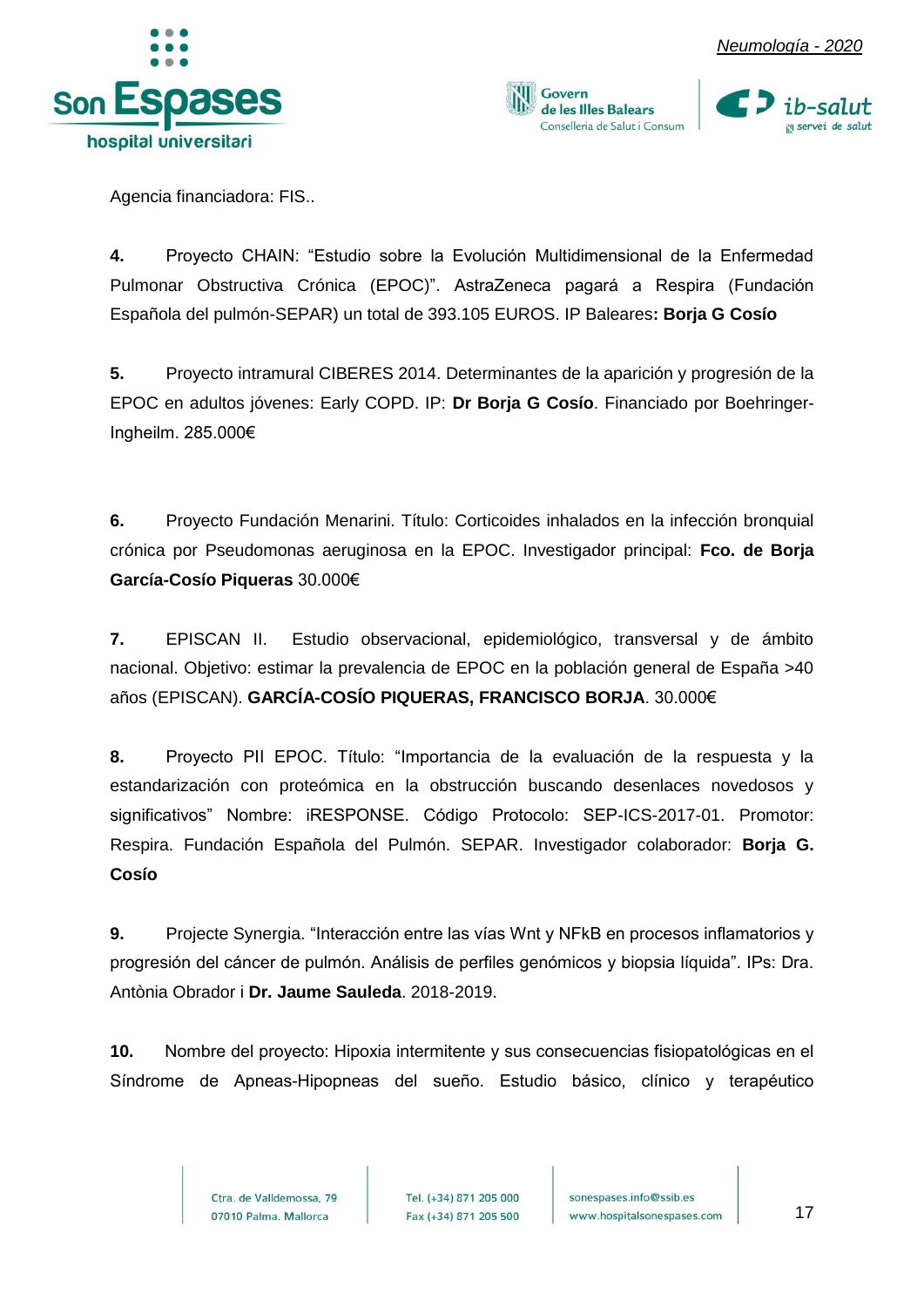



Govern de les Illes Balears Conselleria de Salut i Consum



Agencia financiadora: FIS..

**4.** Proyecto CHAIN: "Estudio sobre la Evolución Multidimensional de la Enfermedad Pulmonar Obstructiva Crónica (EPOC)". AstraZeneca pagará a Respira (Fundación Española del pulmón-SEPAR) un total de 393.105 EUROS. IP Baleares**: Borja G Cosío**

**5.** Proyecto intramural CIBERES 2014. Determinantes de la aparición y progresión de la EPOC en adultos jóvenes: Early COPD. IP: **Dr Borja G Cosío**. Financiado por Boehringer-Ingheilm. 285.000€

**6.** Proyecto Fundación Menarini. Título: Corticoides inhalados en la infección bronquial crónica por Pseudomonas aeruginosa en la EPOC. Investigador principal: **Fco. de Borja García-Cosío Piqueras** 30.000€

**7.** EPISCAN II. Estudio observacional, epidemiológico, transversal y de ámbito nacional. Objetivo: estimar la prevalencia de EPOC en la población general de España >40 años (EPISCAN). **GARCÍA-COSÍO PIQUERAS, FRANCISCO BORJA**. 30.000€

**8.** Proyecto PII EPOC. Título: "Importancia de la evaluación de la respuesta y la estandarización con proteómica en la obstrucción buscando desenlaces novedosos y significativos" Nombre: iRESPONSE. Código Protocolo: SEP-ICS-2017-01. Promotor: Respira. Fundación Española del Pulmón. SEPAR. Investigador colaborador: **Borja G. Cosío**

**9.** Projecte Synergia. "Interacción entre las vías Wnt y NFkB en procesos inflamatorios y progresión del cáncer de pulmón. Análisis de perfiles genómicos y biopsia líquida". IPs: Dra. Antònia Obrador i **Dr. Jaume Sauleda**. 2018-2019.

**10.** Nombre del proyecto: Hipoxia intermitente y sus consecuencias fisiopatológicas en el Síndrome de Apneas-Hipopneas del sueño. Estudio básico, clínico y terapéutico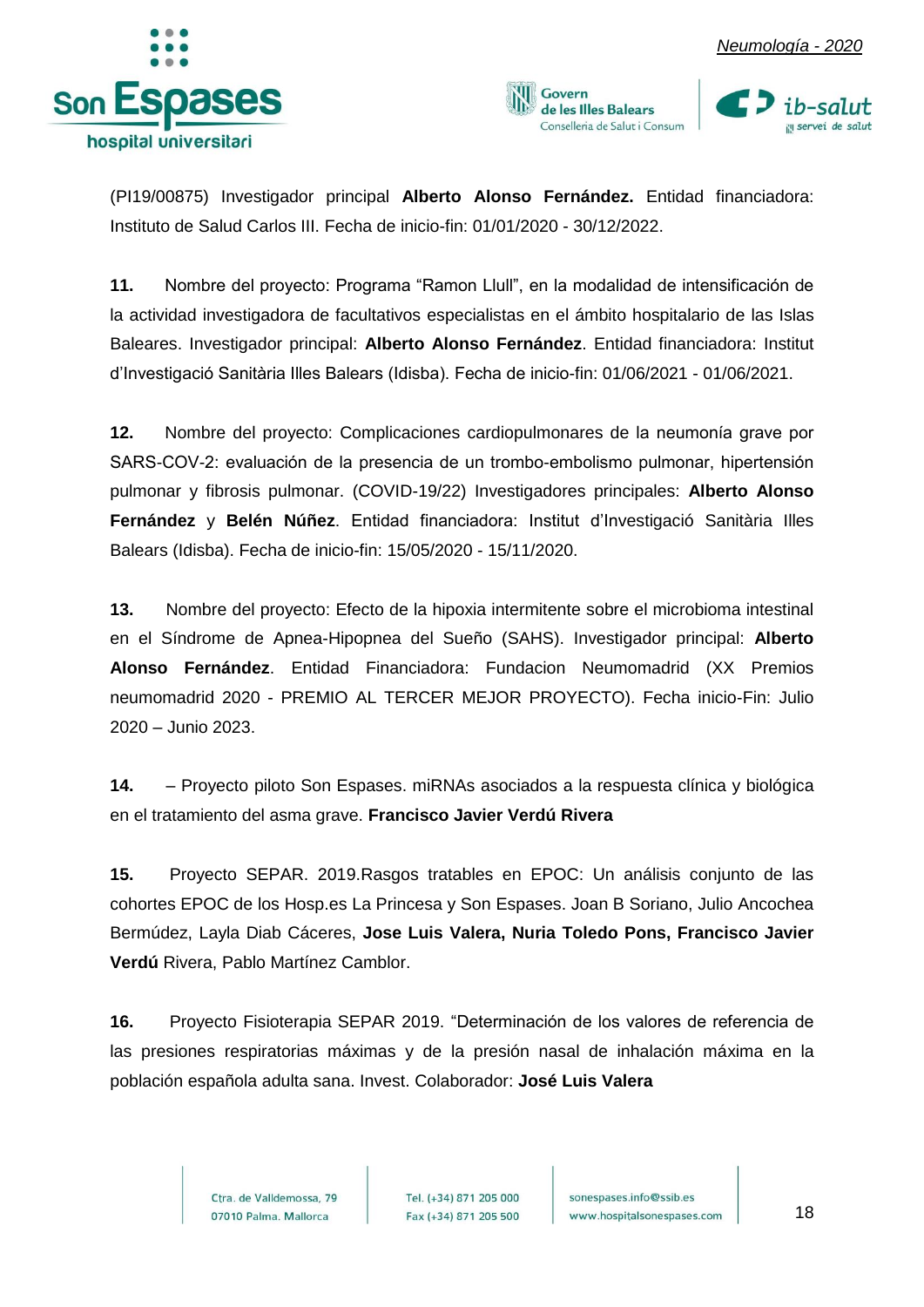







(PI19/00875) Investigador principal **Alberto Alonso Fernández.** Entidad financiadora: Instituto de Salud Carlos III. Fecha de inicio-fin: 01/01/2020 - 30/12/2022.

**11.** Nombre del proyecto: Programa "Ramon Llull", en la modalidad de intensificación de la actividad investigadora de facultativos especialistas en el ámbito hospitalario de las Islas Baleares. Investigador principal: **Alberto Alonso Fernández**. Entidad financiadora: Institut d'Investigació Sanitària Illes Balears (Idisba). Fecha de inicio-fin: 01/06/2021 - 01/06/2021.

**12.** Nombre del proyecto: Complicaciones cardiopulmonares de la neumonía grave por SARS-COV-2: evaluación de la presencia de un trombo-embolismo pulmonar, hipertensión pulmonar y fibrosis pulmonar. (COVID-19/22) Investigadores principales: **Alberto Alonso Fernández** y **Belén Núñez**. Entidad financiadora: Institut d'Investigació Sanitària Illes Balears (Idisba). Fecha de inicio-fin: 15/05/2020 - 15/11/2020.

**13.** Nombre del proyecto: Efecto de la hipoxia intermitente sobre el microbioma intestinal en el Síndrome de Apnea-Hipopnea del Sueño (SAHS). Investigador principal: **Alberto Alonso Fernández**. Entidad Financiadora: Fundacion Neumomadrid (XX Premios neumomadrid 2020 - PREMIO AL TERCER MEJOR PROYECTO). Fecha inicio-Fin: Julio 2020 – Junio 2023.

**14.** – Proyecto piloto Son Espases. miRNAs asociados a la respuesta clínica y biológica en el tratamiento del asma grave. **Francisco Javier Verdú Rivera**

**15.** Proyecto SEPAR. 2019.Rasgos tratables en EPOC: Un análisis conjunto de las cohortes EPOC de los Hosp.es La Princesa y Son Espases. Joan B Soriano, Julio Ancochea Bermúdez, Layla Diab Cáceres, **Jose Luis Valera, Nuria Toledo Pons, Francisco Javier Verdú** Rivera, Pablo Martínez Camblor.

**16.** Proyecto Fisioterapia SEPAR 2019. "Determinación de los valores de referencia de las presiones respiratorias máximas y de la presión nasal de inhalación máxima en la población española adulta sana. Invest. Colaborador: **José Luis Valera**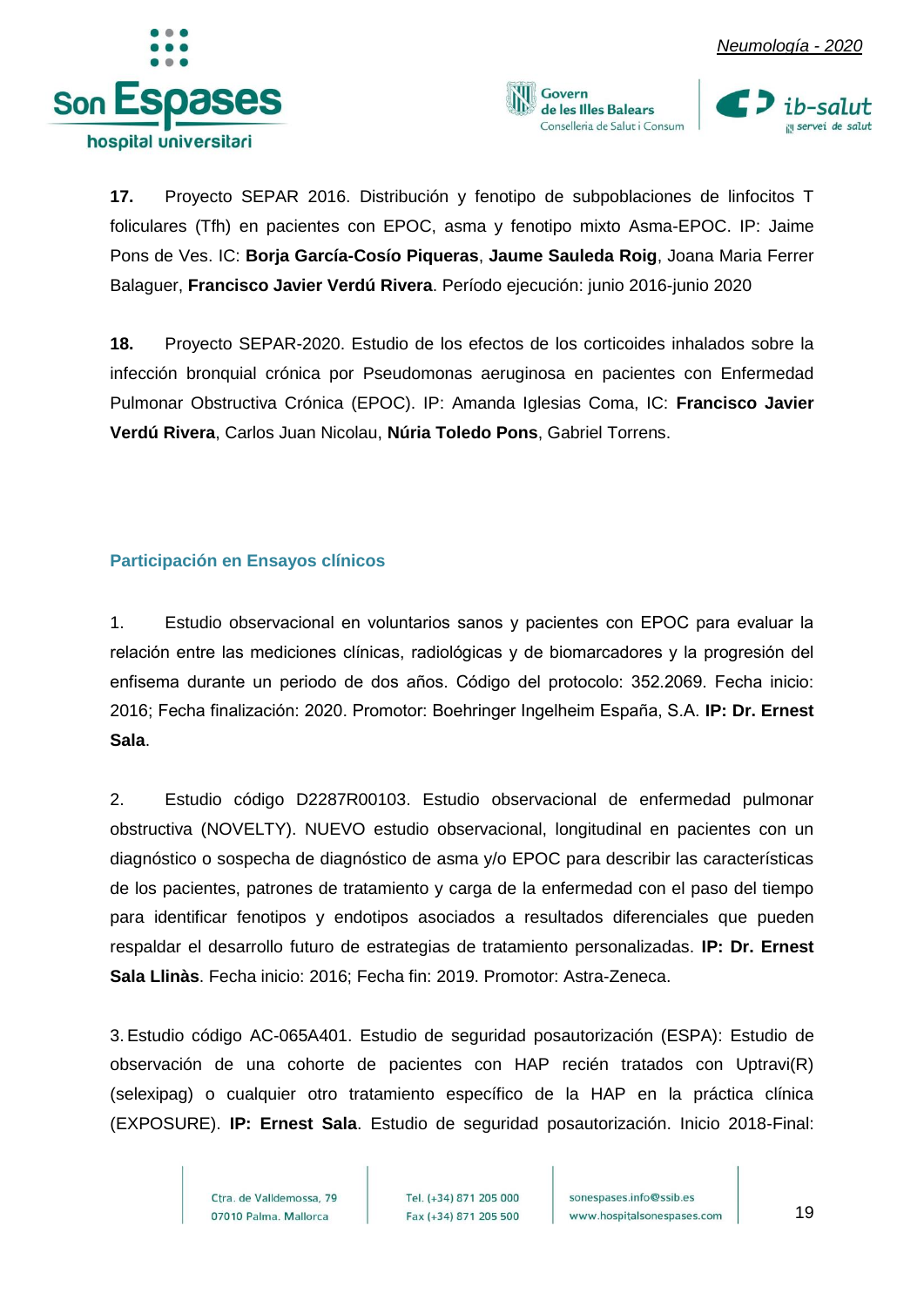





**17.** Proyecto SEPAR 2016. Distribución y fenotipo de subpoblaciones de linfocitos T foliculares (Tfh) en pacientes con EPOC, asma y fenotipo mixto Asma-EPOC. IP: Jaime Pons de Ves. IC: **Borja García-Cosío Piqueras**, **Jaume Sauleda Roig**, Joana Maria Ferrer Balaguer, **Francisco Javier Verdú Rivera**. Período ejecución: junio 2016-junio 2020

**18.** Proyecto SEPAR-2020. Estudio de los efectos de los corticoides inhalados sobre la infección bronquial crónica por Pseudomonas aeruginosa en pacientes con Enfermedad Pulmonar Obstructiva Crónica (EPOC). IP: Amanda Iglesias Coma, IC: **Francisco Javier Verdú Rivera**, Carlos Juan Nicolau, **Núria Toledo Pons**, Gabriel Torrens.

#### <span id="page-19-0"></span>**Participación en Ensayos clínicos**

1. Estudio observacional en voluntarios sanos y pacientes con EPOC para evaluar la relación entre las mediciones clínicas, radiológicas y de biomarcadores y la progresión del enfisema durante un periodo de dos años. Código del protocolo: 352.2069. Fecha inicio: 2016; Fecha finalización: 2020. Promotor: Boehringer Ingelheim España, S.A. **IP: Dr. Ernest Sala**.

2. Estudio código D2287R00103. Estudio observacional de enfermedad pulmonar obstructiva (NOVELTY). NUEVO estudio observacional, longitudinal en pacientes con un diagnóstico o sospecha de diagnóstico de asma y/o EPOC para describir las características de los pacientes, patrones de tratamiento y carga de la enfermedad con el paso del tiempo para identificar fenotipos y endotipos asociados a resultados diferenciales que pueden respaldar el desarrollo futuro de estrategias de tratamiento personalizadas. **IP: Dr. Ernest Sala Llinàs**. Fecha inicio: 2016; Fecha fin: 2019. Promotor: Astra-Zeneca.

3. Estudio código AC-065A401. Estudio de seguridad posautorización (ESPA): Estudio de observación de una cohorte de pacientes con HAP recién tratados con Uptravi(R) (selexipag) o cualquier otro tratamiento específico de la HAP en la práctica clínica (EXPOSURE). **IP: Ernest Sala**. Estudio de seguridad posautorización. Inicio 2018-Final:

> Ctra, de Valldemossa, 79 07010 Palma. Mallorca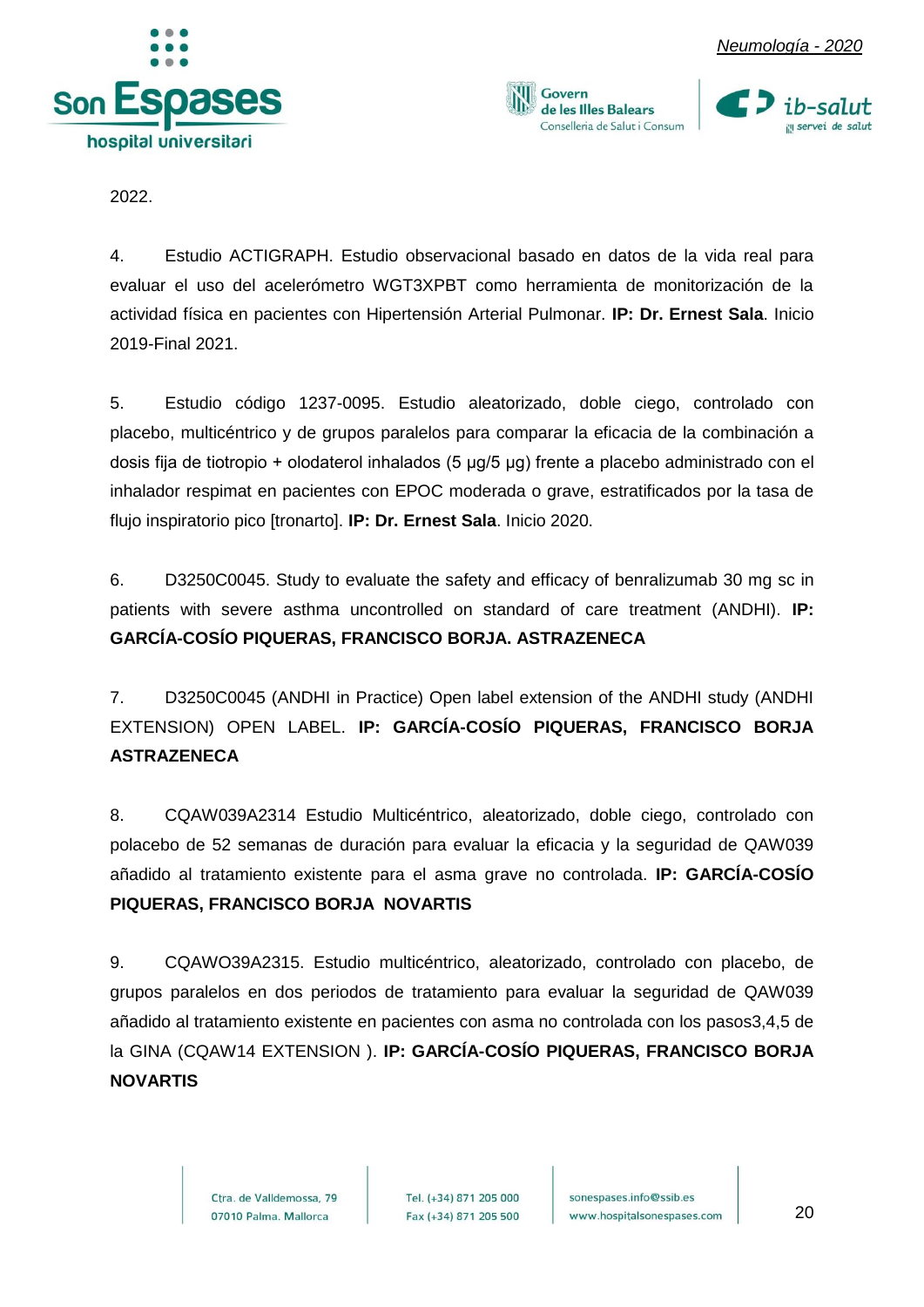





2022.

4. Estudio ACTIGRAPH. Estudio observacional basado en datos de la vida real para evaluar el uso del acelerómetro WGT3XPBT como herramienta de monitorización de la actividad física en pacientes con Hipertensión Arterial Pulmonar. **IP: Dr. Ernest Sala**. Inicio 2019-Final 2021.

5. Estudio código 1237-0095. Estudio aleatorizado, doble ciego, controlado con placebo, multicéntrico y de grupos paralelos para comparar la eficacia de la combinación a dosis fija de tiotropio + olodaterol inhalados (5 μg/5 μg) frente a placebo administrado con el inhalador respimat en pacientes con EPOC moderada o grave, estratificados por la tasa de flujo inspiratorio pico [tronarto]. **IP: Dr. Ernest Sala**. Inicio 2020.

6. D3250C0045. Study to evaluate the safety and efficacy of benralizumab 30 mg sc in patients with severe asthma uncontrolled on standard of care treatment (ANDHI). **IP: GARCÍA-COSÍO PIQUERAS, FRANCISCO BORJA. ASTRAZENECA**

7. D3250C0045 (ANDHI in Practice) Open label extension of the ANDHI study (ANDHI EXTENSION) OPEN LABEL. **IP: GARCÍA-COSÍO PIQUERAS, FRANCISCO BORJA ASTRAZENECA**

8. CQAW039A2314 Estudio Multicéntrico, aleatorizado, doble ciego, controlado con polacebo de 52 semanas de duración para evaluar la eficacia y la seguridad de QAW039 añadido al tratamiento existente para el asma grave no controlada. **IP: GARCÍA-COSÍO PIQUERAS, FRANCISCO BORJA NOVARTIS**

9. CQAWO39A2315. Estudio multicéntrico, aleatorizado, controlado con placebo, de grupos paralelos en dos periodos de tratamiento para evaluar la seguridad de QAW039 añadido al tratamiento existente en pacientes con asma no controlada con los pasos3,4,5 de la GINA (CQAW14 EXTENSION ). **IP: GARCÍA-COSÍO PIQUERAS, FRANCISCO BORJA NOVARTIS**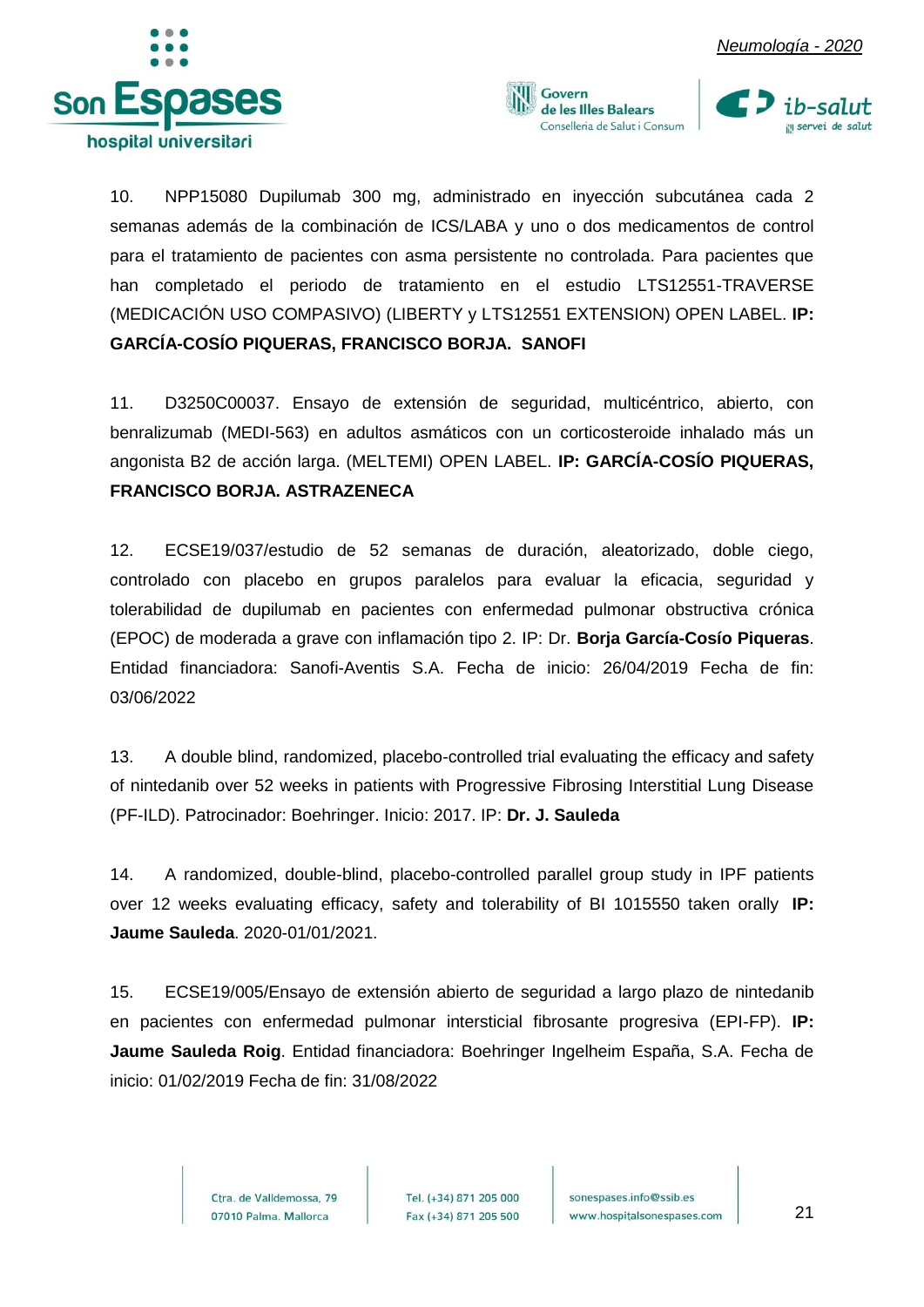





10. NPP15080 Dupilumab 300 mg, administrado en inyección subcutánea cada 2 semanas además de la combinación de ICS/LABA y uno o dos medicamentos de control para el tratamiento de pacientes con asma persistente no controlada. Para pacientes que han completado el periodo de tratamiento en el estudio LTS12551-TRAVERSE (MEDICACIÓN USO COMPASIVO) (LIBERTY y LTS12551 EXTENSION) OPEN LABEL. **IP: GARCÍA-COSÍO PIQUERAS, FRANCISCO BORJA. SANOFI**

11. D3250C00037. Ensayo de extensión de seguridad, multicéntrico, abierto, con benralizumab (MEDI-563) en adultos asmáticos con un corticosteroide inhalado más un angonista B2 de acción larga. (MELTEMI) OPEN LABEL. **IP: GARCÍA-COSÍO PIQUERAS, FRANCISCO BORJA. ASTRAZENECA**

12. ECSE19/037/estudio de 52 semanas de duración, aleatorizado, doble ciego, controlado con placebo en grupos paralelos para evaluar la eficacia, seguridad y tolerabilidad de dupilumab en pacientes con enfermedad pulmonar obstructiva crónica (EPOC) de moderada a grave con inflamación tipo 2. IP: Dr. **Borja García-Cosío Piqueras**. Entidad financiadora: Sanofi-Aventis S.A. Fecha de inicio: 26/04/2019 Fecha de fin: 03/06/2022

13. A double blind, randomized, placebo-controlled trial evaluating the efficacy and safety of nintedanib over 52 weeks in patients with Progressive Fibrosing Interstitial Lung Disease (PF-ILD). Patrocinador: Boehringer. Inicio: 2017. IP: **Dr. J. Sauleda**

14. A randomized, double-blind, placebo-controlled parallel group study in IPF patients over 12 weeks evaluating efficacy, safety and tolerability of BI 1015550 taken orally **IP: Jaume Sauleda**. 2020-01/01/2021.

15. ECSE19/005/Ensayo de extensión abierto de seguridad a largo plazo de nintedanib en pacientes con enfermedad pulmonar intersticial fibrosante progresiva (EPI-FP). **IP: Jaume Sauleda Roig**. Entidad financiadora: Boehringer Ingelheim España, S.A. Fecha de inicio: 01/02/2019 Fecha de fin: 31/08/2022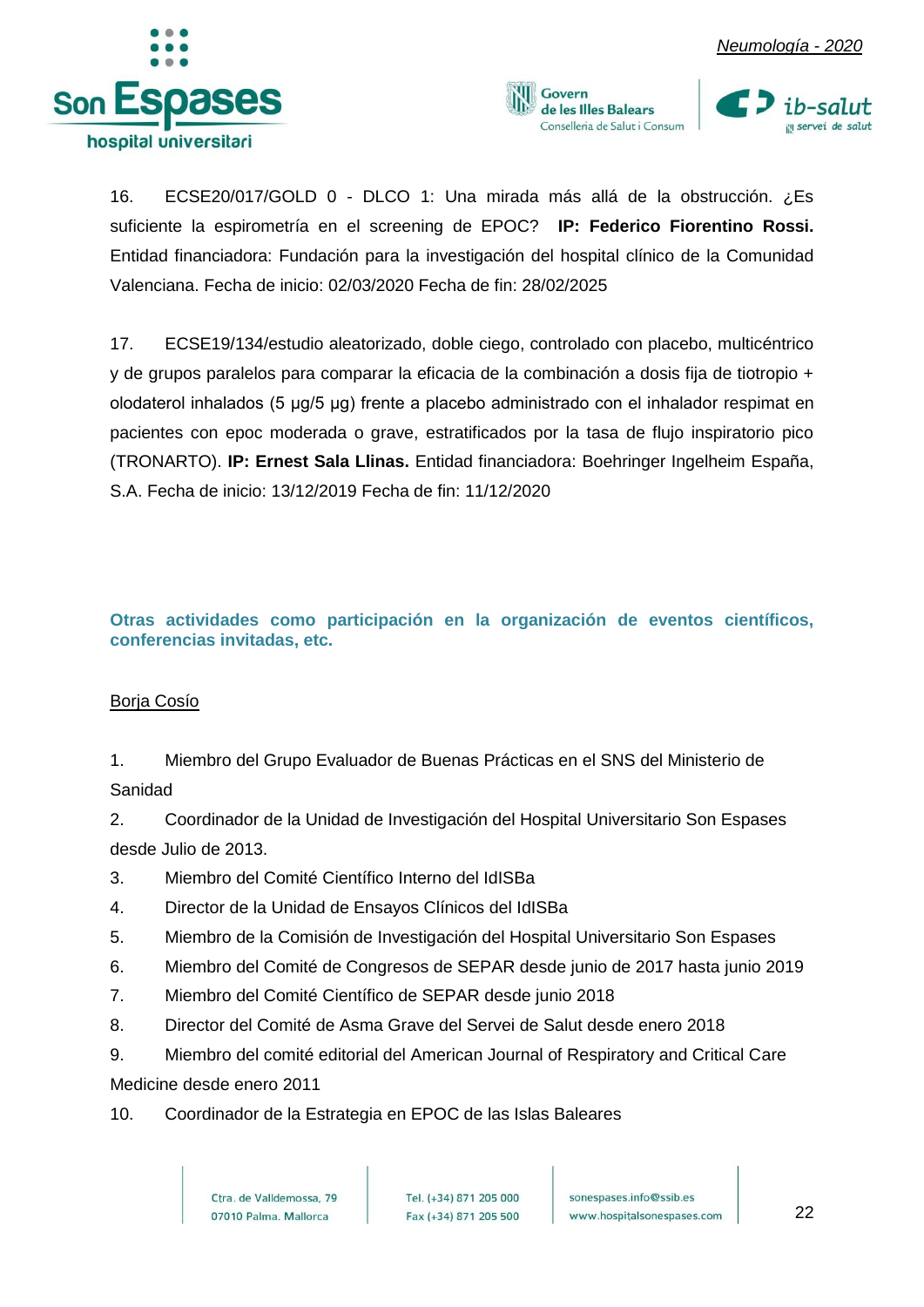





16. ECSE20/017/GOLD 0 - DLCO 1: Una mirada más allá de la obstrucción. ¿Es suficiente la espirometría en el screening de EPOC? **IP: Federico Fiorentino Rossi.** Entidad financiadora: Fundación para la investigación del hospital clínico de la Comunidad Valenciana. Fecha de inicio: 02/03/2020 Fecha de fin: 28/02/2025

17. ECSE19/134/estudio aleatorizado, doble ciego, controlado con placebo, multicéntrico y de grupos paralelos para comparar la eficacia de la combinación a dosis fija de tiotropio + olodaterol inhalados (5 μg/5 μg) frente a placebo administrado con el inhalador respimat en pacientes con epoc moderada o grave, estratificados por la tasa de flujo inspiratorio pico (TRONARTO). **IP: Ernest Sala Llinas.** Entidad financiadora: Boehringer Ingelheim España, S.A. Fecha de inicio: 13/12/2019 Fecha de fin: 11/12/2020

<span id="page-22-0"></span>**Otras actividades como participación en la organización de eventos científicos, conferencias invitadas, etc.**

#### Borja Cosío

1. Miembro del Grupo Evaluador de Buenas Prácticas en el SNS del Ministerio de Sanidad

2. Coordinador de la Unidad de Investigación del Hospital Universitario Son Espases desde Julio de 2013.

- 3. Miembro del Comité Científico Interno del IdISBa
- 4. Director de la Unidad de Ensayos Clínicos del IdISBa
- 5. Miembro de la Comisión de Investigación del Hospital Universitario Son Espases
- 6. Miembro del Comité de Congresos de SEPAR desde junio de 2017 hasta junio 2019
- 7. Miembro del Comité Científico de SEPAR desde junio 2018
- 8. Director del Comité de Asma Grave del Servei de Salut desde enero 2018
- 9. Miembro del comité editorial del American Journal of Respiratory and Critical Care Medicine desde enero 2011
- 10. Coordinador de la Estrategia en EPOC de las Islas Baleares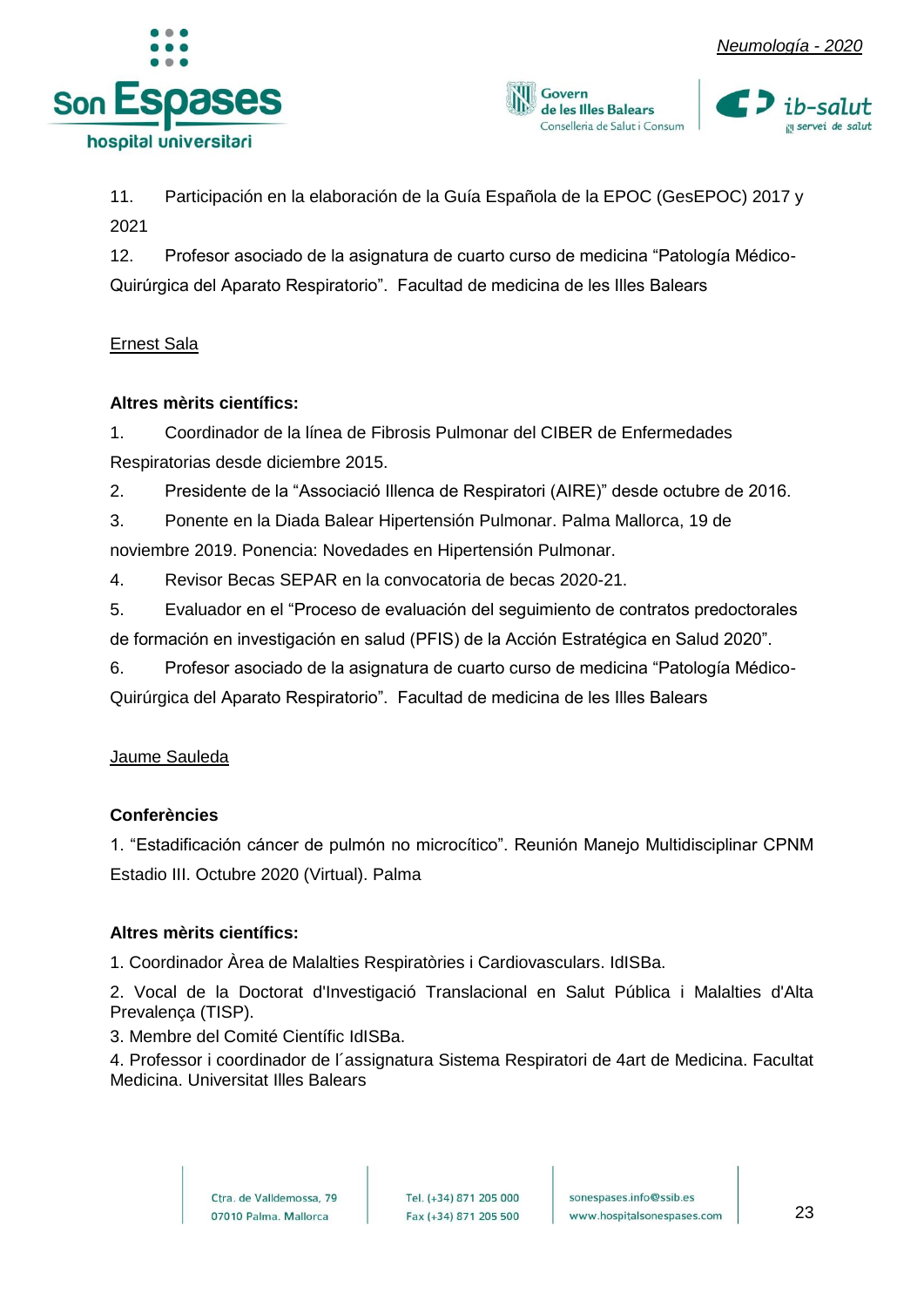





11. Participación en la elaboración de la Guía Española de la EPOC (GesEPOC) 2017 y 2021

12. Profesor asociado de la asignatura de cuarto curso de medicina "Patología Médico-Quirúrgica del Aparato Respiratorio". Facultad de medicina de les Illes Balears

#### Ernest Sala

#### **Altres mèrits científics:**

1. Coordinador de la línea de Fibrosis Pulmonar del CIBER de Enfermedades Respiratorias desde diciembre 2015.

2. Presidente de la "Associació Illenca de Respiratori (AIRE)" desde octubre de 2016.

3. Ponente en la Diada Balear Hipertensión Pulmonar. Palma Mallorca, 19 de noviembre 2019. Ponencia: Novedades en Hipertensión Pulmonar.

4. Revisor Becas SEPAR en la convocatoria de becas 2020-21.

5. Evaluador en el "Proceso de evaluación del seguimiento de contratos predoctorales de formación en investigación en salud (PFIS) de la Acción Estratégica en Salud 2020".

6. Profesor asociado de la asignatura de cuarto curso de medicina "Patología Médico-Quirúrgica del Aparato Respiratorio". Facultad de medicina de les Illes Balears

#### Jaume Sauleda

#### **Conferències**

1. "Estadificación cáncer de pulmón no microcítico". Reunión Manejo Multidisciplinar CPNM Estadio III. Octubre 2020 (Virtual). Palma

#### **Altres mèrits científics:**

1. Coordinador Àrea de Malalties Respiratòries i Cardiovasculars. IdISBa.

2. Vocal de la Doctorat d'Investigació Translacional en Salut Pública i Malalties d'Alta Prevalença (TISP).

3. Membre del Comité Científic IdISBa.

4. Professor i coordinador de l´assignatura Sistema Respiratori de 4art de Medicina. Facultat Medicina. Universitat Illes Balears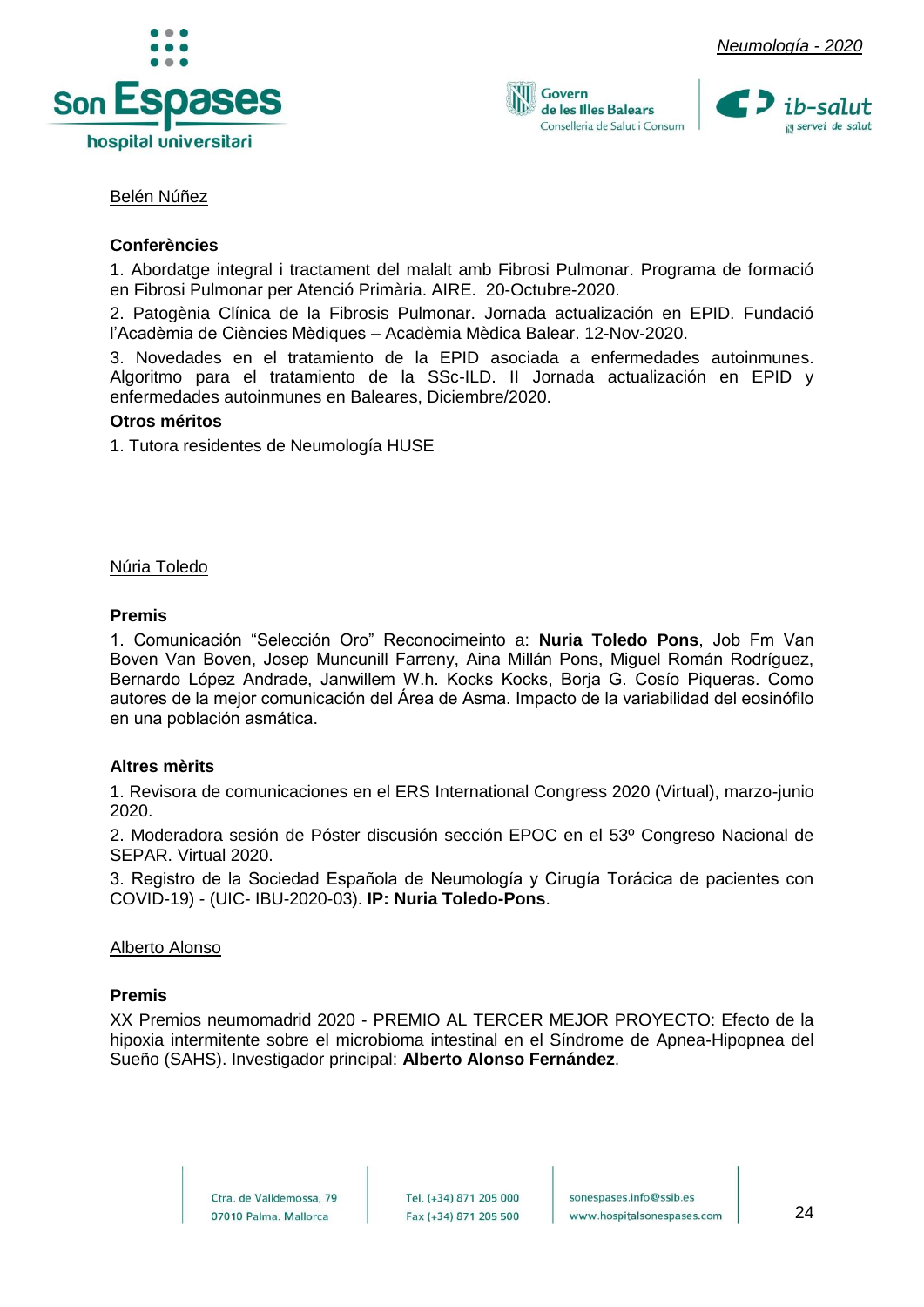



Govern de les Illes Balears Conselleria de Salut i Consum



#### Belén Núñez

#### **Conferències**

1. Abordatge integral i tractament del malalt amb Fibrosi Pulmonar. Programa de formació en Fibrosi Pulmonar per Atenció Primària. AIRE. 20-Octubre-2020.

2. Patogènia Clínica de la Fibrosis Pulmonar. Jornada actualización en EPID. Fundació l'Acadèmia de Ciències Mèdiques – Acadèmia Mèdica Balear. 12-Nov-2020.

3. Novedades en el tratamiento de la EPID asociada a enfermedades autoinmunes. Algoritmo para el tratamiento de la SSc-ILD. II Jornada actualización en EPID y enfermedades autoinmunes en Baleares, Diciembre/2020.

#### **Otros méritos**

1. Tutora residentes de Neumología HUSE

Núria Toledo

#### **Premis**

1. Comunicación "Selección Oro" Reconocimeinto a: **Nuria Toledo Pons**, Job Fm Van Boven Van Boven, Josep Muncunill Farreny, Aina Millán Pons, Miguel Román Rodríguez, Bernardo López Andrade, Janwillem W.h. Kocks Kocks, Borja G. Cosío Piqueras. Como autores de la mejor comunicación del Área de Asma. Impacto de la variabilidad del eosinófilo en una población asmática.

#### **Altres mèrits**

1. Revisora de comunicaciones en el ERS International Congress 2020 (Virtual), marzo-junio 2020.

2. Moderadora sesión de Póster discusión sección EPOC en el 53º Congreso Nacional de SEPAR. Virtual 2020.

3. Registro de la Sociedad Española de Neumología y Cirugía Torácica de pacientes con COVID-19) - (UIC- IBU-2020-03). **IP: Nuria Toledo-Pons**.

#### Alberto Alonso

#### **Premis**

XX Premios neumomadrid 2020 - PREMIO AL TERCER MEJOR PROYECTO: Efecto de la hipoxia intermitente sobre el microbioma intestinal en el Síndrome de Apnea-Hipopnea del Sueño (SAHS). Investigador principal: **Alberto Alonso Fernández**.

> Ctra, de Valldemossa, 79 07010 Palma. Mallorca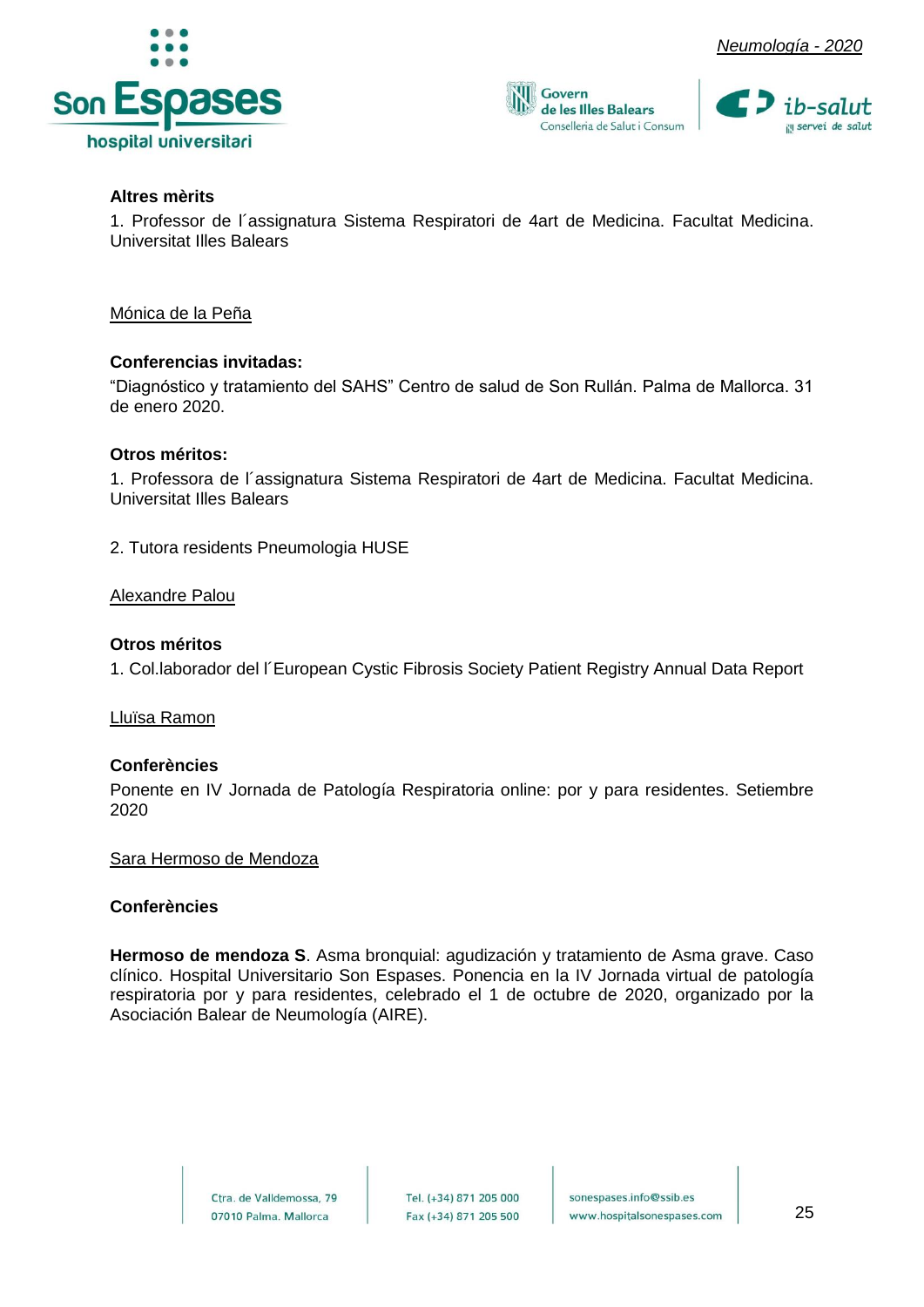



#### **Altres mèrits**

1. Professor de l´assignatura Sistema Respiratori de 4art de Medicina. Facultat Medicina. Universitat Illes Balears

Govern

de les Illes Balears Conselleria de Salut i Consum

Mónica de la Peña

#### **Conferencias invitadas:**

"Diagnóstico y tratamiento del SAHS" Centro de salud de Son Rullán. Palma de Mallorca. 31 de enero 2020.

#### **Otros méritos:**

1. Professora de l´assignatura Sistema Respiratori de 4art de Medicina. Facultat Medicina. Universitat Illes Balears

2. Tutora residents Pneumologia HUSE

#### Alexandre Palou

#### **Otros méritos**

1. Col.laborador del l´European Cystic Fibrosis Society Patient Registry Annual Data Report

Lluïsa Ramon

#### **Conferències**

Ponente en IV Jornada de Patología Respiratoria online: por y para residentes. Setiembre 2020

#### Sara Hermoso de Mendoza

#### **Conferències**

**Hermoso de mendoza S**. Asma bronquial: agudización y tratamiento de Asma grave. Caso clínico. Hospital Universitario Son Espases. Ponencia en la IV Jornada virtual de patología respiratoria por y para residentes, celebrado el 1 de octubre de 2020, organizado por la Asociación Balear de Neumología (AIRE).